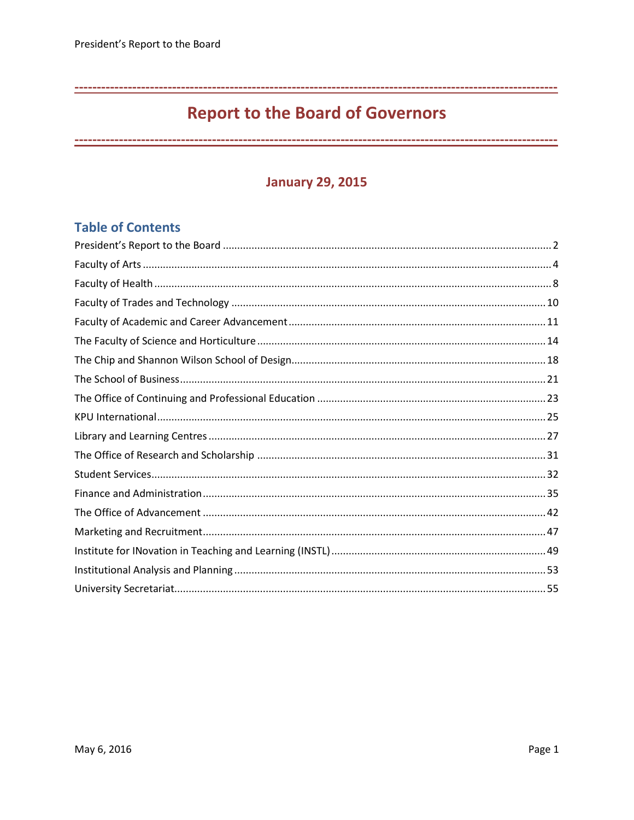# **Report to the Board of Governors**

## **January 29, 2015**

## **Table of Contents**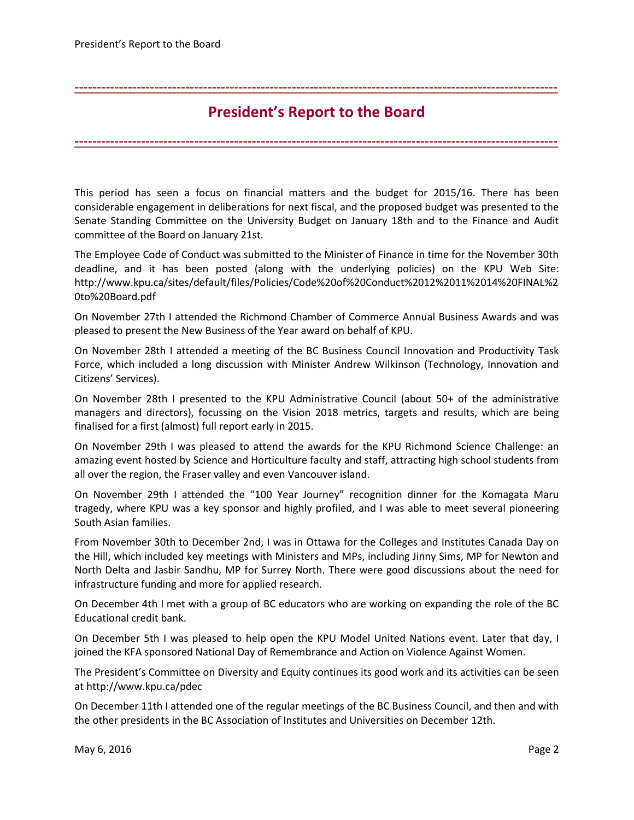**President's Report to the Board**

**-------------------------------------------------------------------------------------------------------------**

<span id="page-1-0"></span>**-------------------------------------------------------------------------------------------------------------**

This period has seen a focus on financial matters and the budget for 2015/16. There has been considerable engagement in deliberations for next fiscal, and the proposed budget was presented to the Senate Standing Committee on the University Budget on January 18th and to the Finance and Audit committee of the Board on January 21st.

The Employee Code of Conduct was submitted to the Minister of Finance in time for the November 30th deadline, and it has been posted (along with the underlying policies) on the KPU Web Site: [http://www.kpu.ca/sites/default/files/Policies/Code%20of%20Conduct%2012%2011%2014%20FINAL%2](http://www.kpu.ca/sites/default/files/Policies/Code%20of%20Conduct%2012%2011%2014%20FINAL%20to%20Board.pdf) [0to%20Board.pdf](http://www.kpu.ca/sites/default/files/Policies/Code%20of%20Conduct%2012%2011%2014%20FINAL%20to%20Board.pdf)

On November 27th I attended the Richmond Chamber of Commerce Annual Business Awards and was pleased to present the New Business of the Year award on behalf of KPU.

On November 28th I attended a meeting of the BC Business Council Innovation and Productivity Task Force, which included a long discussion with Minister Andrew Wilkinson (Technology, Innovation and Citizens' Services).

On November 28th I presented to the KPU Administrative Council (about 50+ of the administrative managers and directors), focussing on the Vision 2018 metrics, targets and results, which are being finalised for a first (almost) full report early in 2015.

On November 29th I was pleased to attend the awards for the KPU Richmond Science Challenge: an amazing event hosted by Science and Horticulture faculty and staff, attracting high school students from all over the region, the Fraser valley and even Vancouver island.

On November 29th I attended the "100 Year Journey" recognition dinner for the Komagata Maru tragedy, where KPU was a key sponsor and highly profiled, and I was able to meet several pioneering South Asian families.

From November 30th to December 2nd, I was in Ottawa for the Colleges and Institutes Canada Day on the Hill, which included key meetings with Ministers and MPs, including Jinny Sims, MP for Newton and North Delta and Jasbir Sandhu, MP for Surrey North. There were good discussions about the need for infrastructure funding and more for applied research.

On December 4th I met with a group of BC educators who are working on expanding the role of the BC Educational credit bank.

On December 5th I was pleased to help open the KPU Model United Nations event. Later that day, I joined the KFA sponsored National Day of Remembrance and Action on Violence Against Women.

The President's Committee on Diversity and Equity continues its good work and its activities can be seen a[t http://www.kpu.ca/pdec](http://www.kpu.ca/pdec)

On December 11th I attended one of the regular meetings of the BC Business Council, and then and with the other presidents in the BC Association of Institutes and Universities on December 12th.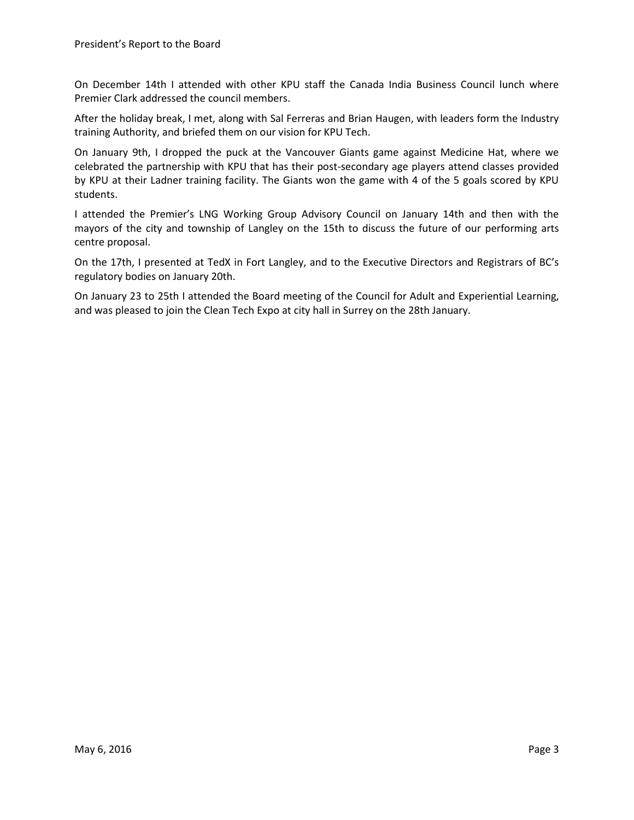On December 14th I attended with other KPU staff the Canada India Business Council lunch where Premier Clark addressed the council members.

After the holiday break, I met, along with Sal Ferreras and Brian Haugen, with leaders form the Industry training Authority, and briefed them on our vision for KPU Tech.

On January 9th, I dropped the puck at the Vancouver Giants game against Medicine Hat, where we celebrated the partnership with KPU that has their post-secondary age players attend classes provided by KPU at their Ladner training facility. The Giants won the game with 4 of the 5 goals scored by KPU students.

I attended the Premier's LNG Working Group Advisory Council on January 14th and then with the mayors of the city and township of Langley on the 15th to discuss the future of our performing arts centre proposal.

On the 17th, I presented at TedX in Fort Langley, and to the Executive Directors and Registrars of BC's regulatory bodies on January 20th.

On January 23 to 25th I attended the Board meeting of the Council for Adult and Experiential Learning, and was pleased to join the Clean Tech Expo at city hall in Surrey on the 28th January.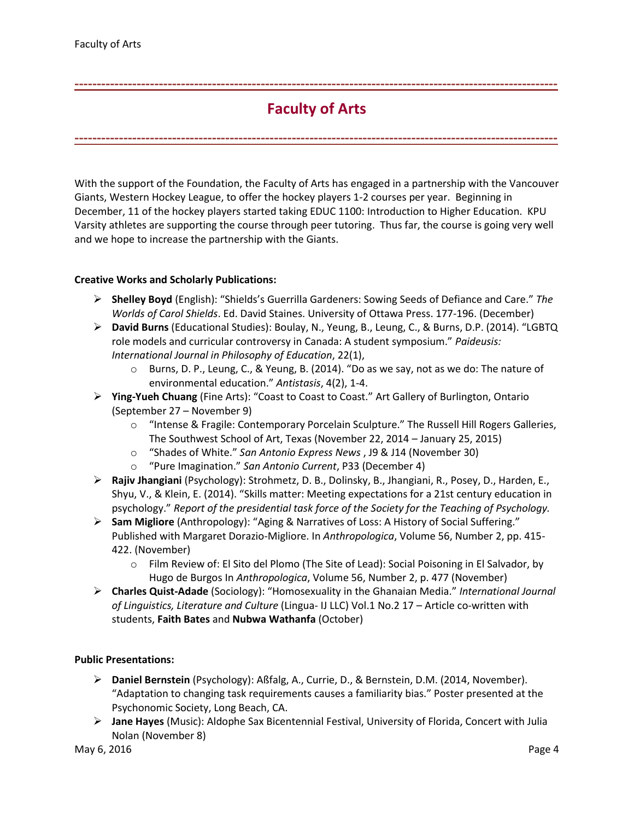# **Faculty of Arts**

<span id="page-3-0"></span>**-------------------------------------------------------------------------------------------------------------**

**-------------------------------------------------------------------------------------------------------------**

With the support of the Foundation, the Faculty of Arts has engaged in a partnership with the Vancouver Giants, Western Hockey League, to offer the hockey players 1-2 courses per year. Beginning in December, 11 of the hockey players started taking EDUC 1100: Introduction to Higher Education. KPU Varsity athletes are supporting the course through peer tutoring. Thus far, the course is going very well and we hope to increase the partnership with the Giants.

## **Creative Works and Scholarly Publications:**

- **Shelley Boyd** (English): "Shields's Guerrilla Gardeners: Sowing Seeds of Defiance and Care." *The Worlds of Carol Shields*. Ed. David Staines. University of Ottawa Press. 177-196. (December)
- **David Burns** (Educational Studies): Boulay, N., Yeung, B., Leung, C., & Burns, D.P. (2014). "LGBTQ role models and curricular controversy in Canada: A student symposium." *Paideusis: International Journal in Philosophy of Education*, 22(1),
	- o Burns, D. P., Leung, C., & Yeung, B. (2014). "Do as we say, not as we do: The nature of environmental education." *Antistasis*, 4(2), 1-4.
- **Ying-Yueh Chuang** (Fine Arts): "Coast to Coast to Coast." Art Gallery of Burlington, Ontario (September 27 – November 9)
	- o "Intense & Fragile: Contemporary Porcelain Sculpture." The Russell Hill Rogers Galleries, The Southwest School of Art, Texas (November 22, 2014 – January 25, 2015)
	- o "Shades of White." *San Antonio Express News* , J9 & J14 (November 30)
	- o "Pure Imagination." *San Antonio Current*, P33 (December 4)
- **Rajiv Jhangiani** (Psychology): Strohmetz, D. B., Dolinsky, B., Jhangiani, R., Posey, D., Harden, E., Shyu, V., & Klein, E. (2014). "Skills matter: Meeting expectations for a 21st century education in psychology." *Report of the presidential task force of the Society for the Teaching of Psychology.*
- **Sam Migliore** (Anthropology): "Aging & Narratives of Loss: A History of Social Suffering." Published with Margaret Dorazio-Migliore. In *Anthropologica*, Volume 56, Number 2, pp. 415- 422. (November)
	- o Film Review of: El Sito del Plomo (The Site of Lead): Social Poisoning in El Salvador, by Hugo de Burgos In *Anthropologica*, Volume 56, Number 2, p. 477 (November)
- **Charles Quist-Adade** (Sociology): "Homosexuality in the Ghanaian Media." *International Journal of Linguistics, Literature and Culture* (Lingua- IJ LLC) Vol.1 No.2 17 – Article co-written with students, **Faith Bates** and **Nubwa Wathanfa** (October)

## **Public Presentations:**

- **Daniel Bernstein** (Psychology): Aßfalg, A., Currie, D., & Bernstein, D.M. (2014, November). "Adaptation to changing task requirements causes a familiarity bias." Poster presented at the Psychonomic Society, Long Beach, CA.
- **Jane Hayes** (Music): Aldophe Sax Bicentennial Festival, University of Florida, Concert with Julia Nolan (November 8)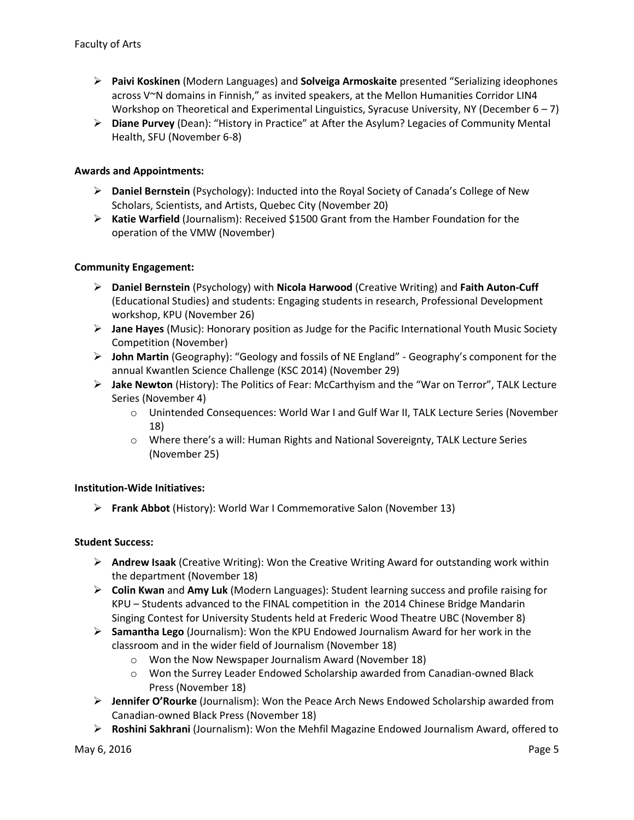- **Paivi Koskinen** (Modern Languages) and **Solveiga Armoskaite** presented "Serializing ideophones across V~N domains in Finnish," as invited speakers, at the Mellon Humanities Corridor LIN4 Workshop on Theoretical and Experimental Linguistics, Syracuse University, NY (December  $6 - 7$ )
- **Diane Purvey** (Dean): "History in Practice" at After the Asylum? Legacies of Community Mental Health, SFU (November 6-8)

## **Awards and Appointments:**

- **Daniel Bernstein** (Psychology): Inducted into the Royal Society of Canada's College of New Scholars, Scientists, and Artists, Quebec City (November 20)
- **Katie Warfield** (Journalism): Received \$1500 Grant from the Hamber Foundation for the operation of the VMW (November)

## **Community Engagement:**

- **Daniel Bernstein** (Psychology) with **Nicola Harwood** (Creative Writing) and **Faith Auton-Cuff** (Educational Studies) and students: Engaging students in research, Professional Development workshop, KPU (November 26)
- **Jane Hayes** (Music): Honorary position as Judge for the Pacific International Youth Music Society Competition (November)
- **John Martin** (Geography): "Geology and fossils of NE England" Geography's component for the annual Kwantlen Science Challenge (KSC 2014) (November 29)
- **Jake Newton** (History): The Politics of Fear: McCarthyism and the "War on Terror", TALK Lecture Series (November 4)
	- o Unintended Consequences: World War I and Gulf War II, TALK Lecture Series (November 18)
	- o Where there's a will: Human Rights and National Sovereignty, TALK Lecture Series (November 25)

## **Institution-Wide Initiatives:**

**Frank Abbot** (History): World War I Commemorative Salon (November 13)

## **Student Success:**

- **Andrew Isaak** (Creative Writing): Won the Creative Writing Award for outstanding work within the department (November 18)
- **Colin Kwan** and **Amy Luk** (Modern Languages): Student learning success and profile raising for KPU – Students advanced to the FINAL competition in the 2014 Chinese Bridge Mandarin Singing Contest for University Students held at Frederic Wood Theatre UBC (November 8)
- **Samantha Lego** (Journalism): Won the KPU Endowed Journalism Award for her work in the classroom and in the wider field of Journalism (November 18)
	- o Won the Now Newspaper Journalism Award (November 18)
	- o Won the Surrey Leader Endowed Scholarship awarded from Canadian-owned Black Press (November 18)
- **Jennifer O'Rourke** (Journalism): Won the Peace Arch News Endowed Scholarship awarded from Canadian-owned Black Press (November 18)
- **Roshini Sakhrani** (Journalism): Won the Mehfil Magazine Endowed Journalism Award, offered to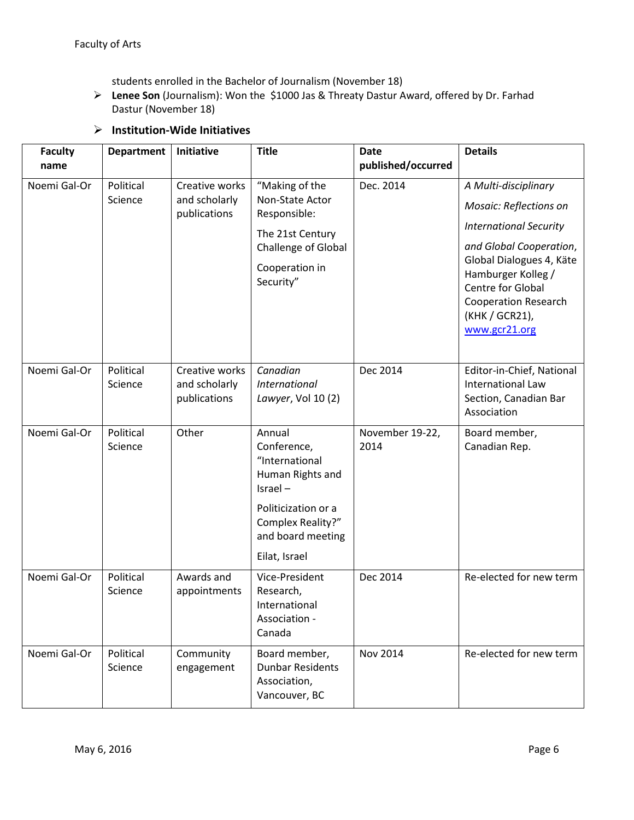students enrolled in the Bachelor of Journalism (November 18)

 **Lenee Son** (Journalism): Won the \$1000 Jas & Threaty Dastur Award, offered by Dr. Farhad Dastur (November 18)

## **Institution-Wide Initiatives**

| <b>Faculty</b>       | <b>Department</b>    | Initiative                                      | <b>Title</b>                                                                                                                                             | <b>Date</b>                     | <b>Details</b>                                                                                                                                                                                                                                                    |
|----------------------|----------------------|-------------------------------------------------|----------------------------------------------------------------------------------------------------------------------------------------------------------|---------------------------------|-------------------------------------------------------------------------------------------------------------------------------------------------------------------------------------------------------------------------------------------------------------------|
| name<br>Noemi Gal-Or | Political<br>Science | Creative works<br>and scholarly<br>publications | "Making of the<br>Non-State Actor<br>Responsible:<br>The 21st Century<br>Challenge of Global<br>Cooperation in<br>Security"                              | published/occurred<br>Dec. 2014 | A Multi-disciplinary<br><b>Mosaic: Reflections on</b><br><b>International Security</b><br>and Global Cooperation,<br>Global Dialogues 4, Käte<br>Hamburger Kolleg /<br><b>Centre for Global</b><br><b>Cooperation Research</b><br>(KHK / GCR21),<br>www.gcr21.org |
| Noemi Gal-Or         | Political<br>Science | Creative works<br>and scholarly<br>publications | Canadian<br><b>International</b><br>Lawyer, Vol 10 (2)                                                                                                   | Dec 2014                        | Editor-in-Chief, National<br><b>International Law</b><br>Section, Canadian Bar<br>Association                                                                                                                                                                     |
| Noemi Gal-Or         | Political<br>Science | Other                                           | Annual<br>Conference,<br>"International<br>Human Rights and<br>Israel-<br>Politicization or a<br>Complex Reality?"<br>and board meeting<br>Eilat, Israel | November 19-22,<br>2014         | Board member,<br>Canadian Rep.                                                                                                                                                                                                                                    |
| Noemi Gal-Or         | Political<br>Science | Awards and<br>appointments                      | Vice-President<br>Research,<br>International<br>Association -<br>Canada                                                                                  | Dec 2014                        | Re-elected for new term                                                                                                                                                                                                                                           |
| Noemi Gal-Or         | Political<br>Science | Community<br>engagement                         | Board member,<br><b>Dunbar Residents</b><br>Association,<br>Vancouver, BC                                                                                | Nov 2014                        | Re-elected for new term                                                                                                                                                                                                                                           |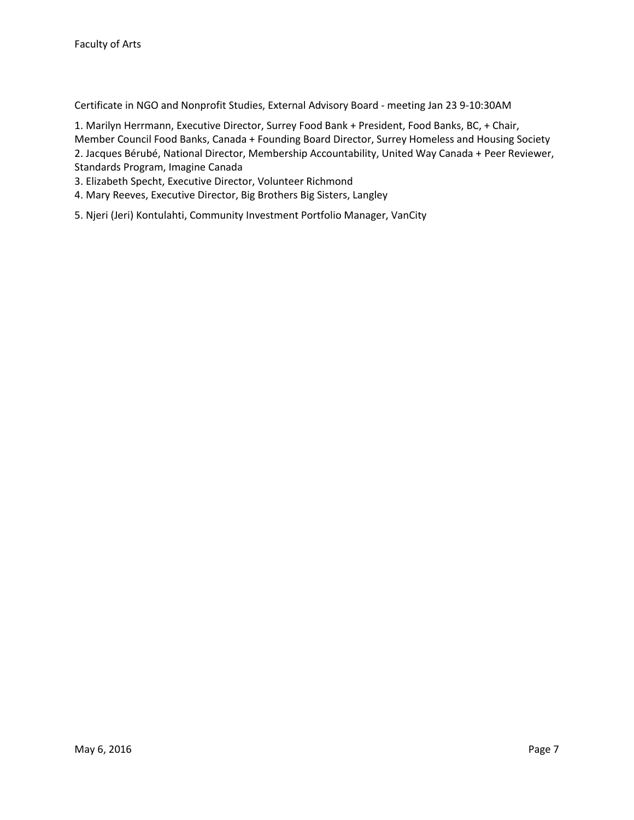Certificate in NGO and Nonprofit Studies, External Advisory Board - meeting Jan 23 9-10:30AM

1. Marilyn Herrmann, Executive Director, Surrey Food Bank + President, Food Banks, BC, + Chair, Member Council Food Banks, Canada + Founding Board Director, Surrey Homeless and Housing Society 2. Jacques Bérubé, National Director, Membership Accountability, United Way Canada + Peer Reviewer, Standards Program, Imagine Canada

- 3. Elizabeth Specht, Executive Director, Volunteer Richmond
- 4. Mary Reeves, Executive Director, Big Brothers Big Sisters, Langley
- 5. Njeri (Jeri) Kontulahti, Community Investment Portfolio Manager, VanCity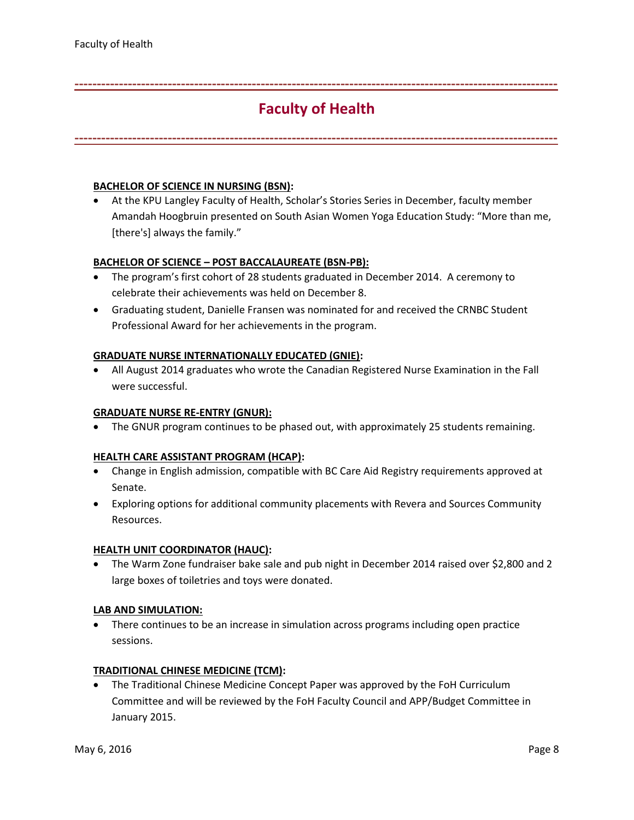# **Faculty of Health**

<span id="page-7-0"></span>**-------------------------------------------------------------------------------------------------------------**

**-------------------------------------------------------------------------------------------------------------**

## **BACHELOR OF SCIENCE IN NURSING (BSN):**

 At the KPU Langley Faculty of Health, Scholar's Stories Series in December, faculty member Amandah Hoogbruin presented on South Asian Women Yoga Education Study: "More than me, [there's] always the family."

## **BACHELOR OF SCIENCE – POST BACCALAUREATE (BSN-PB):**

- The program's first cohort of 28 students graduated in December 2014. A ceremony to celebrate their achievements was held on December 8.
- Graduating student, Danielle Fransen was nominated for and received the CRNBC Student Professional Award for her achievements in the program.

## **GRADUATE NURSE INTERNATIONALLY EDUCATED (GNIE):**

 All August 2014 graduates who wrote the Canadian Registered Nurse Examination in the Fall were successful.

### **GRADUATE NURSE RE-ENTRY (GNUR):**

• The GNUR program continues to be phased out, with approximately 25 students remaining.

### **HEALTH CARE ASSISTANT PROGRAM (HCAP):**

- Change in English admission, compatible with BC Care Aid Registry requirements approved at Senate.
- Exploring options for additional community placements with Revera and Sources Community Resources.

### **HEALTH UNIT COORDINATOR (HAUC):**

 The Warm Zone fundraiser bake sale and pub night in December 2014 raised over \$2,800 and 2 large boxes of toiletries and toys were donated.

### **LAB AND SIMULATION:**

• There continues to be an increase in simulation across programs including open practice sessions.

### **TRADITIONAL CHINESE MEDICINE (TCM):**

 The Traditional Chinese Medicine Concept Paper was approved by the FoH Curriculum Committee and will be reviewed by the FoH Faculty Council and APP/Budget Committee in January 2015.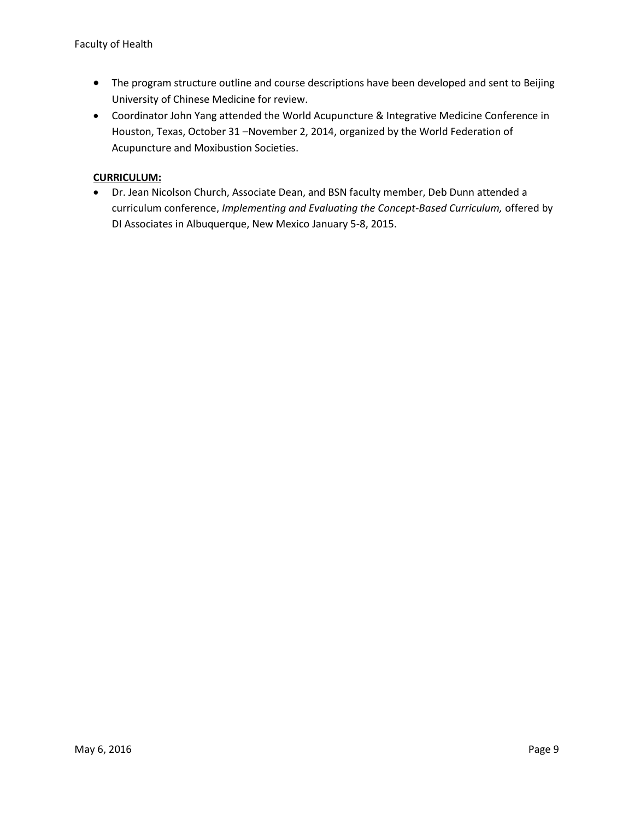- The program structure outline and course descriptions have been developed and sent to Beijing University of Chinese Medicine for review.
- Coordinator John Yang attended the World Acupuncture & Integrative Medicine Conference in Houston, Texas, October 31 –November 2, 2014, organized by the World Federation of Acupuncture and Moxibustion Societies.

## **CURRICULUM:**

 Dr. Jean Nicolson Church, Associate Dean, and BSN faculty member, Deb Dunn attended a curriculum conference, *Implementing and Evaluating the Concept-Based Curriculum,* offered by DI Associates in Albuquerque, New Mexico January 5-8, 2015.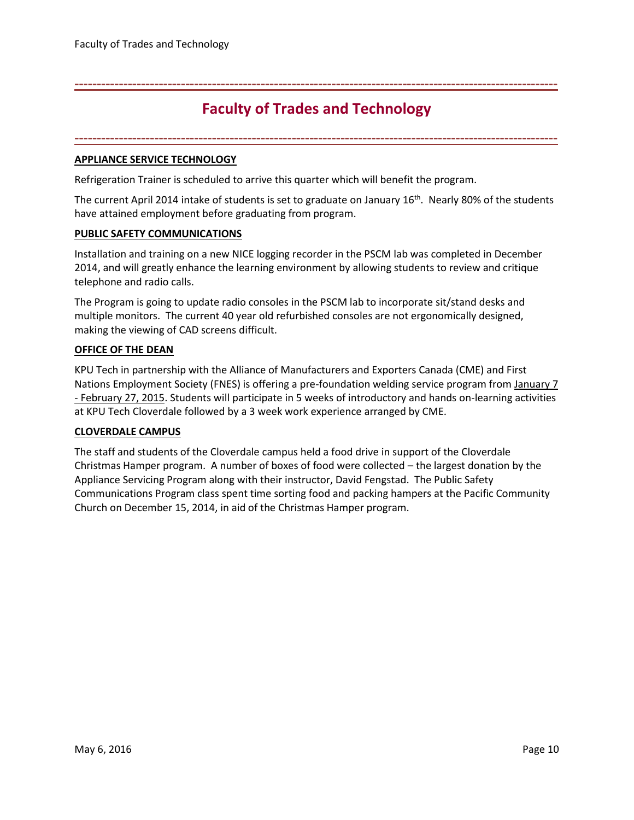## <span id="page-9-0"></span>**-------------------------------------------------------------------------------------------------------------**

## **Faculty of Trades and Technology**

**-------------------------------------------------------------------------------------------------------------**

## **APPLIANCE SERVICE TECHNOLOGY**

Refrigeration Trainer is scheduled to arrive this quarter which will benefit the program.

The current April 2014 intake of students is set to graduate on January  $16<sup>th</sup>$ . Nearly 80% of the students have attained employment before graduating from program.

## **PUBLIC SAFETY COMMUNICATIONS**

Installation and training on a new NICE logging recorder in the PSCM lab was completed in December 2014, and will greatly enhance the learning environment by allowing students to review and critique telephone and radio calls.

The Program is going to update radio consoles in the PSCM lab to incorporate sit/stand desks and multiple monitors. The current 40 year old refurbished consoles are not ergonomically designed, making the viewing of CAD screens difficult.

## **OFFICE OF THE DEAN**

KPU Tech in partnership with the Alliance of Manufacturers and Exporters Canada (CME) and First Nations Employment Society (FNES) is offering a pre-foundation welding service program from January 7 - February 27, 2015. Students will participate in 5 weeks of introductory and hands on-learning activities at KPU Tech Cloverdale followed by a 3 week work experience arranged by CME.

## **CLOVERDALE CAMPUS**

The staff and students of the Cloverdale campus held a food drive in support of the Cloverdale Christmas Hamper program. A number of boxes of food were collected – the largest donation by the Appliance Servicing Program along with their instructor, David Fengstad. The Public Safety Communications Program class spent time sorting food and packing hampers at the Pacific Community Church on December 15, 2014, in aid of the Christmas Hamper program.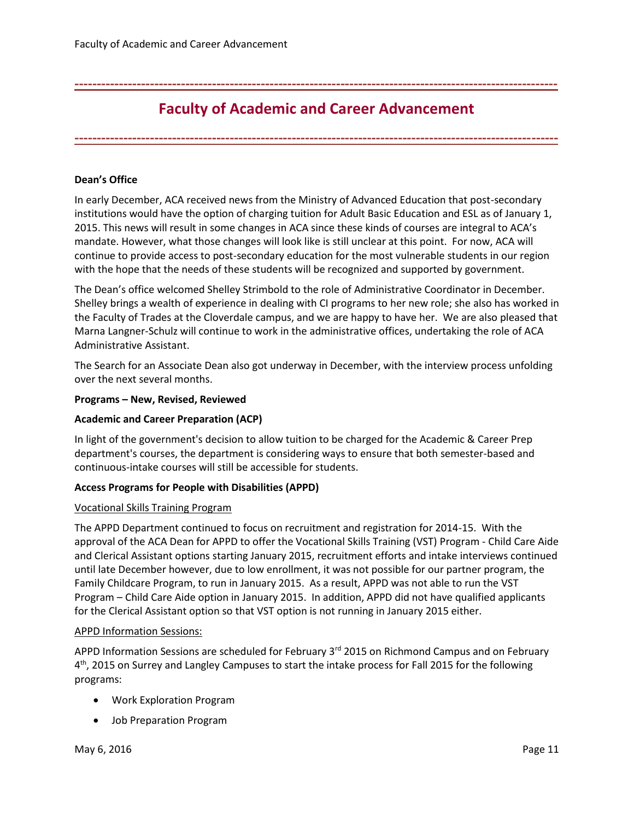## <span id="page-10-0"></span>**-------------------------------------------------------------------------------------------------------------**

## **Faculty of Academic and Career Advancement**

**-------------------------------------------------------------------------------------------------------------**

## **Dean's Office**

In early December, ACA received news from the Ministry of Advanced Education that post-secondary institutions would have the option of charging tuition for Adult Basic Education and ESL as of January 1, 2015. This news will result in some changes in ACA since these kinds of courses are integral to ACA's mandate. However, what those changes will look like is still unclear at this point. For now, ACA will continue to provide access to post-secondary education for the most vulnerable students in our region with the hope that the needs of these students will be recognized and supported by government.

The Dean's office welcomed Shelley Strimbold to the role of Administrative Coordinator in December. Shelley brings a wealth of experience in dealing with CI programs to her new role; she also has worked in the Faculty of Trades at the Cloverdale campus, and we are happy to have her. We are also pleased that Marna Langner-Schulz will continue to work in the administrative offices, undertaking the role of ACA Administrative Assistant.

The Search for an Associate Dean also got underway in December, with the interview process unfolding over the next several months.

### **Programs – New, Revised, Reviewed**

### **Academic and Career Preparation (ACP)**

In light of the government's decision to allow tuition to be charged for the Academic & Career Prep department's courses, the department is considering ways to ensure that both semester-based and continuous-intake courses will still be accessible for students.

### **Access Programs for People with Disabilities (APPD)**

#### Vocational Skills Training Program

The APPD Department continued to focus on recruitment and registration for 2014-15. With the approval of the ACA Dean for APPD to offer the Vocational Skills Training (VST) Program - Child Care Aide and Clerical Assistant options starting January 2015, recruitment efforts and intake interviews continued until late December however, due to low enrollment, it was not possible for our partner program, the Family Childcare Program, to run in January 2015. As a result, APPD was not able to run the VST Program – Child Care Aide option in January 2015. In addition, APPD did not have qualified applicants for the Clerical Assistant option so that VST option is not running in January 2015 either.

### APPD Information Sessions:

APPD Information Sessions are scheduled for February 3<sup>rd</sup> 2015 on Richmond Campus and on February 4<sup>th</sup>, 2015 on Surrey and Langley Campuses to start the intake process for Fall 2015 for the following programs:

- Work Exploration Program
- Job Preparation Program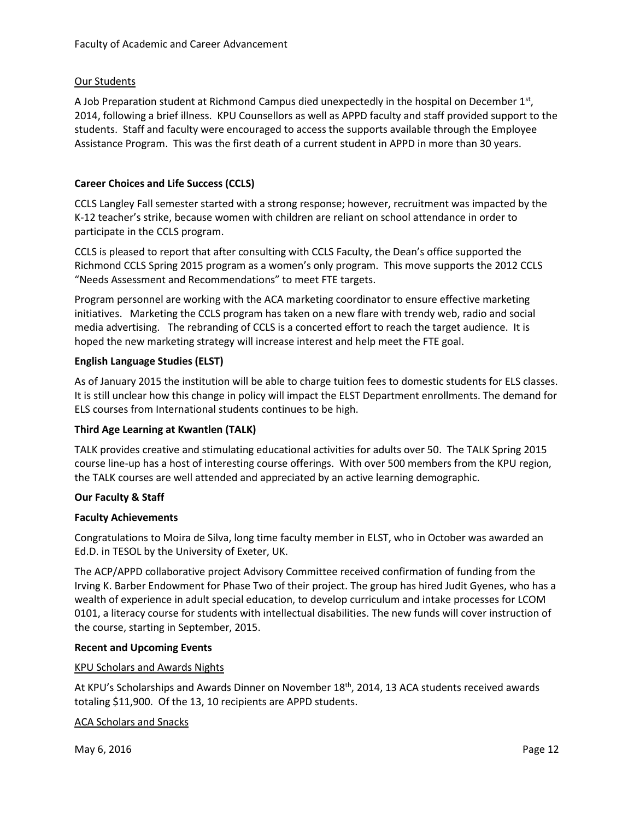## Our Students

A Job Preparation student at Richmond Campus died unexpectedly in the hospital on December  $1<sup>st</sup>$ , 2014, following a brief illness. KPU Counsellors as well as APPD faculty and staff provided support to the students.Staff and faculty were encouraged to access the supports available through the Employee Assistance Program. This was the first death of a current student in APPD in more than 30 years.

## **Career Choices and Life Success (CCLS)**

CCLS Langley Fall semester started with a strong response; however, recruitment was impacted by the K-12 teacher's strike, because women with children are reliant on school attendance in order to participate in the CCLS program.

CCLS is pleased to report that after consulting with CCLS Faculty, the Dean's office supported the Richmond CCLS Spring 2015 program as a women's only program. This move supports the 2012 CCLS "Needs Assessment and Recommendations" to meet FTE targets.

Program personnel are working with the ACA marketing coordinator to ensure effective marketing initiatives. Marketing the CCLS program has taken on a new flare with trendy web, radio and social media advertising. The rebranding of CCLS is a concerted effort to reach the target audience. It is hoped the new marketing strategy will increase interest and help meet the FTE goal.

## **English Language Studies (ELST)**

As of January 2015 the institution will be able to charge tuition fees to domestic students for ELS classes. It is still unclear how this change in policy will impact the ELST Department enrollments. The demand for ELS courses from International students continues to be high.

## **Third Age Learning at Kwantlen (TALK)**

TALK provides creative and stimulating educational activities for adults over 50. The TALK Spring 2015 course line-up has a host of interesting course offerings. With over 500 members from the KPU region, the TALK courses are well attended and appreciated by an active learning demographic.

## **Our Faculty & Staff**

## **Faculty Achievements**

Congratulations to Moira de Silva, long time faculty member in ELST, who in October was awarded an Ed.D. in TESOL by the University of Exeter, UK.

The ACP/APPD collaborative project Advisory Committee received confirmation of funding from the Irving K. Barber Endowment for Phase Two of their project. The group has hired Judit Gyenes, who has a wealth of experience in adult special education, to develop curriculum and intake processes for LCOM 0101, a literacy course for students with intellectual disabilities. The new funds will cover instruction of the course, starting in September, 2015.

## **Recent and Upcoming Events**

## KPU Scholars and Awards Nights

At KPU's Scholarships and Awards Dinner on November  $18<sup>th</sup>$ , 2014, 13 ACA students received awards totaling \$11,900. Of the 13, 10 recipients are APPD students.

## ACA Scholars and Snacks

May 6, 2016 **Page 12**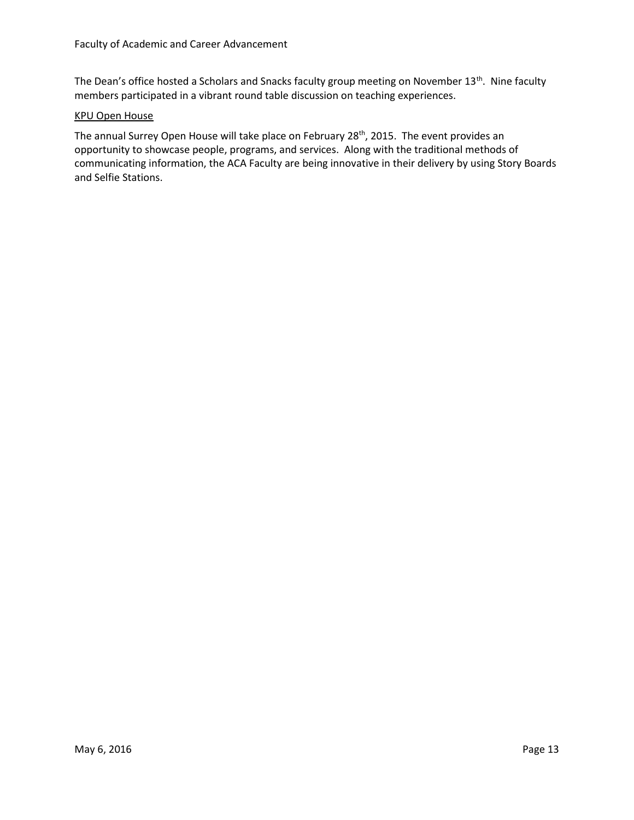The Dean's office hosted a Scholars and Snacks faculty group meeting on November 13<sup>th</sup>. Nine faculty members participated in a vibrant round table discussion on teaching experiences.

#### KPU Open House

The annual Surrey Open House will take place on February 28<sup>th</sup>, 2015. The event provides an opportunity to showcase people, programs, and services. Along with the traditional methods of communicating information, the ACA Faculty are being innovative in their delivery by using Story Boards and Selfie Stations.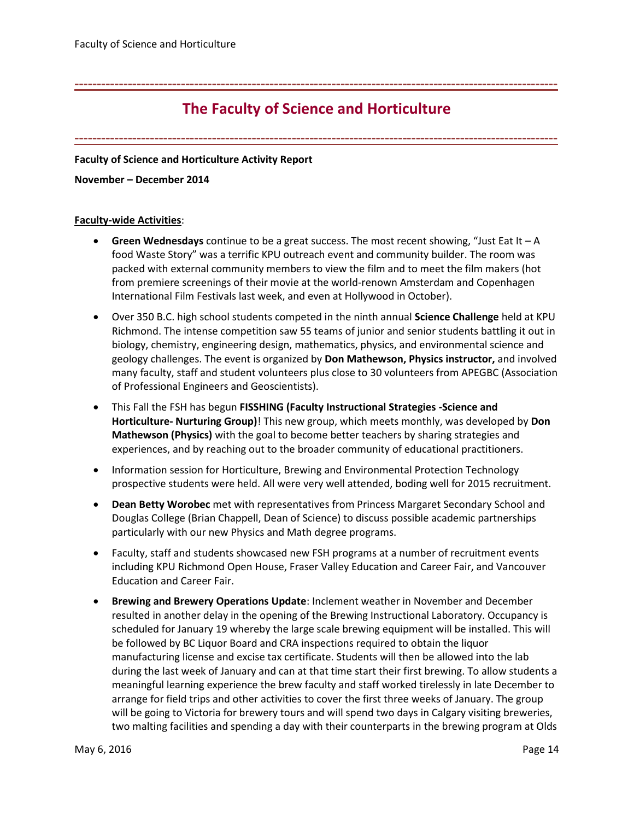## <span id="page-13-0"></span>**-------------------------------------------------------------------------------------------------------------**

## **The Faculty of Science and Horticulture**

**-------------------------------------------------------------------------------------------------------------**

## **Faculty of Science and Horticulture Activity Report**

#### **November – December 2014**

### **Faculty-wide Activities**:

- **Green Wednesdays** continue to be a great success. The most recent showing, "Just Eat It A food Waste Story" was a terrific KPU outreach event and community builder. The room was packed with external community members to view the film and to meet the film makers (hot from premiere screenings of their movie at the world-renown Amsterdam and Copenhagen International Film Festivals last week, and even at Hollywood in October).
- Over 350 B.C. high school students competed in the ninth annual **Science Challenge** held at KPU Richmond. The intense competition saw 55 teams of junior and senior students battling it out in biology, chemistry, engineering design, mathematics, physics, and environmental science and geology challenges. The event is organized by **Don Mathewson, Physics instructor,** and involved many faculty, staff and student volunteers plus close to 30 volunteers from APEGBC (Association of Professional Engineers and Geoscientists).
- This Fall the FSH has begun **FISSHING (Faculty Instructional Strategies -Science and Horticulture- Nurturing Group)**! This new group, which meets monthly, was developed by **Don Mathewson (Physics)** with the goal to become better teachers by sharing strategies and experiences, and by reaching out to the broader community of educational practitioners.
- Information session for Horticulture, Brewing and Environmental Protection Technology prospective students were held. All were very well attended, boding well for 2015 recruitment.
- **Dean Betty Worobec** met with representatives from Princess Margaret Secondary School and Douglas College (Brian Chappell, Dean of Science) to discuss possible academic partnerships particularly with our new Physics and Math degree programs.
- Faculty, staff and students showcased new FSH programs at a number of recruitment events including KPU Richmond Open House, Fraser Valley Education and Career Fair, and Vancouver Education and Career Fair.
- **Brewing and Brewery Operations Update**: Inclement weather in November and December resulted in another delay in the opening of the Brewing Instructional Laboratory. Occupancy is scheduled for January 19 whereby the large scale brewing equipment will be installed. This will be followed by BC Liquor Board and CRA inspections required to obtain the liquor manufacturing license and excise tax certificate. Students will then be allowed into the lab during the last week of January and can at that time start their first brewing. To allow students a meaningful learning experience the brew faculty and staff worked tirelessly in late December to arrange for field trips and other activities to cover the first three weeks of January. The group will be going to Victoria for brewery tours and will spend two days in Calgary visiting breweries, two malting facilities and spending a day with their counterparts in the brewing program at Olds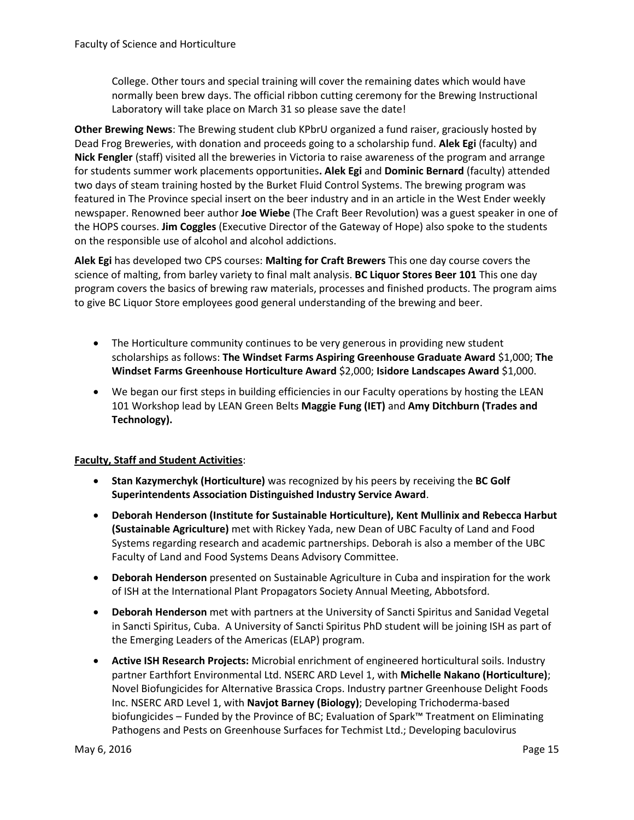College. Other tours and special training will cover the remaining dates which would have normally been brew days. The official ribbon cutting ceremony for the Brewing Instructional Laboratory will take place on March 31 so please save the date!

**Other Brewing News**: The Brewing student club KPbrU organized a fund raiser, graciously hosted by Dead Frog Breweries, with donation and proceeds going to a scholarship fund. **Alek Egi** (faculty) and **Nick Fengler** (staff) visited all the breweries in Victoria to raise awareness of the program and arrange for students summer work placements opportunities**. Alek Egi** and **Dominic Bernard** (faculty) attended two days of steam training hosted by the Burket Fluid Control Systems. The brewing program was featured in The Province special insert on the beer industry and in an article in the West Ender weekly newspaper. Renowned beer author **Joe Wiebe** (The Craft Beer Revolution) was a guest speaker in one of the HOPS courses. **Jim Coggles** (Executive Director of the Gateway of Hope) also spoke to the students on the responsible use of alcohol and alcohol addictions.

**Alek Egi** has developed two CPS courses: **Malting for Craft Brewers** This one day course covers the science of malting, from barley variety to final malt analysis. **BC Liquor Stores Beer 101** This one day program covers the basics of brewing raw materials, processes and finished products. The program aims to give BC Liquor Store employees good general understanding of the brewing and beer.

- The Horticulture community continues to be very generous in providing new student scholarships as follows: **The Windset Farms Aspiring Greenhouse Graduate Award** \$1,000; **The Windset Farms Greenhouse Horticulture Award** \$2,000; **Isidore Landscapes Award** \$1,000.
- We began our first steps in building efficiencies in our Faculty operations by hosting the LEAN 101 Workshop lead by LEAN Green Belts **Maggie Fung (IET)** and **Amy Ditchburn (Trades and Technology).**

## **Faculty, Staff and Student Activities**:

- **Stan Kazymerchyk (Horticulture)** was recognized by his peers by receiving the **BC Golf Superintendents Association Distinguished Industry Service Award**.
- **Deborah Henderson (Institute for Sustainable Horticulture), Kent Mullinix and Rebecca Harbut (Sustainable Agriculture)** met with Rickey Yada, new Dean of UBC Faculty of Land and Food Systems regarding research and academic partnerships. Deborah is also a member of the UBC Faculty of Land and Food Systems Deans Advisory Committee.
- **Deborah Henderson** presented on Sustainable Agriculture in Cuba and inspiration for the work of ISH at the International Plant Propagators Society Annual Meeting, Abbotsford.
- **Deborah Henderson** met with partners at the University of Sancti Spiritus and Sanidad Vegetal in Sancti Spiritus, Cuba. A University of Sancti Spiritus PhD student will be joining ISH as part of the Emerging Leaders of the Americas (ELAP) program.
- **Active ISH Research Projects:** Microbial enrichment of engineered horticultural soils. Industry partner Earthfort Environmental Ltd. NSERC ARD Level 1, with **Michelle Nakano (Horticulture)**; Novel Biofungicides for Alternative Brassica Crops. Industry partner Greenhouse Delight Foods Inc. NSERC ARD Level 1, with **Navjot Barney (Biology)**; Developing Trichoderma-based biofungicides – Funded by the Province of BC; Evaluation of Spark™ Treatment on Eliminating Pathogens and Pests on Greenhouse Surfaces for Techmist Ltd.; Developing baculovirus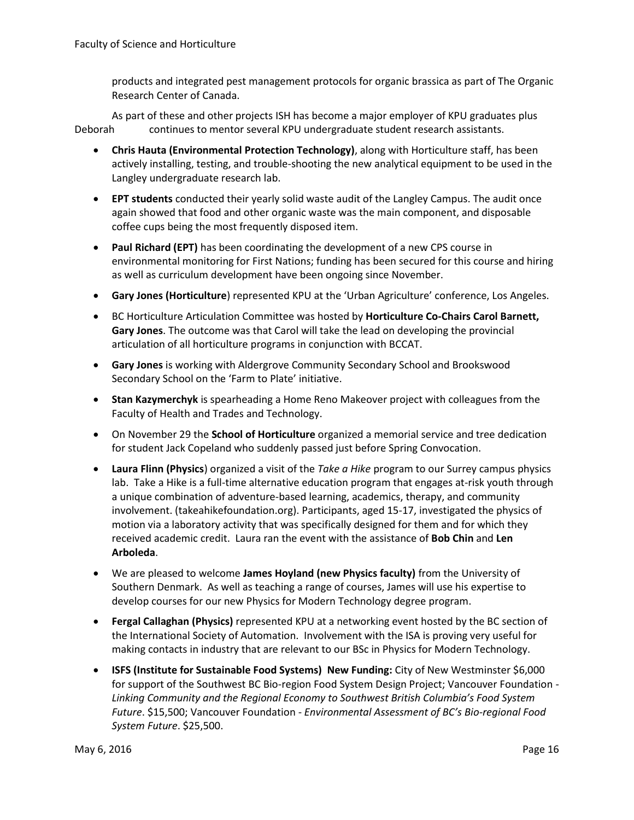products and integrated pest management protocols for organic brassica as part of The Organic Research Center of Canada.

As part of these and other projects ISH has become a major employer of KPU graduates plus Deborah continues to mentor several KPU undergraduate student research assistants.

- **Chris Hauta (Environmental Protection Technology)**, along with Horticulture staff, has been actively installing, testing, and trouble-shooting the new analytical equipment to be used in the Langley undergraduate research lab.
- **EPT students** conducted their yearly solid waste audit of the Langley Campus. The audit once again showed that food and other organic waste was the main component, and disposable coffee cups being the most frequently disposed item.
- **Paul Richard (EPT)** has been coordinating the development of a new CPS course in environmental monitoring for First Nations; funding has been secured for this course and hiring as well as curriculum development have been ongoing since November.
- **Gary Jones (Horticulture**) represented KPU at the 'Urban Agriculture' conference, Los Angeles.
- BC Horticulture Articulation Committee was hosted by **Horticulture Co-Chairs Carol Barnett, Gary Jones**. The outcome was that Carol will take the lead on developing the provincial articulation of all horticulture programs in conjunction with BCCAT.
- **Gary Jones** is working with Aldergrove Community Secondary School and Brookswood Secondary School on the 'Farm to Plate' initiative.
- **Stan Kazymerchyk** is spearheading a Home Reno Makeover project with colleagues from the Faculty of Health and Trades and Technology.
- On November 29 the **School of Horticulture** organized a memorial service and tree dedication for student Jack Copeland who suddenly passed just before Spring Convocation.
- **Laura Flinn (Physics**) organized a visit of the *Take a Hike* program to our Surrey campus physics lab. Take a Hike is a full-time alternative education program that engages at-risk youth through a unique combination of adventure-based learning, academics, therapy, and community involvement. (takeahikefoundation.org). Participants, aged 15-17, investigated the physics of motion via a laboratory activity that was specifically designed for them and for which they received academic credit. Laura ran the event with the assistance of **Bob Chin** and **Len Arboleda**.
- We are pleased to welcome **James Hoyland (new Physics faculty)** from the University of Southern Denmark. As well as teaching a range of courses, James will use his expertise to develop courses for our new Physics for Modern Technology degree program.
- **Fergal Callaghan (Physics)** represented KPU at a networking event hosted by the BC section of the International Society of Automation. Involvement with the ISA is proving very useful for making contacts in industry that are relevant to our BSc in Physics for Modern Technology.
- **ISFS (Institute for Sustainable Food Systems) New Funding:** City of New Westminster \$6,000 for support of the Southwest BC Bio-region Food System Design Project; Vancouver Foundation - *Linking Community and the Regional Economy to Southwest British Columbia's Food System Future*. \$15,500; Vancouver Foundation - *Environmental Assessment of BC's Bio-regional Food System Future*. \$25,500.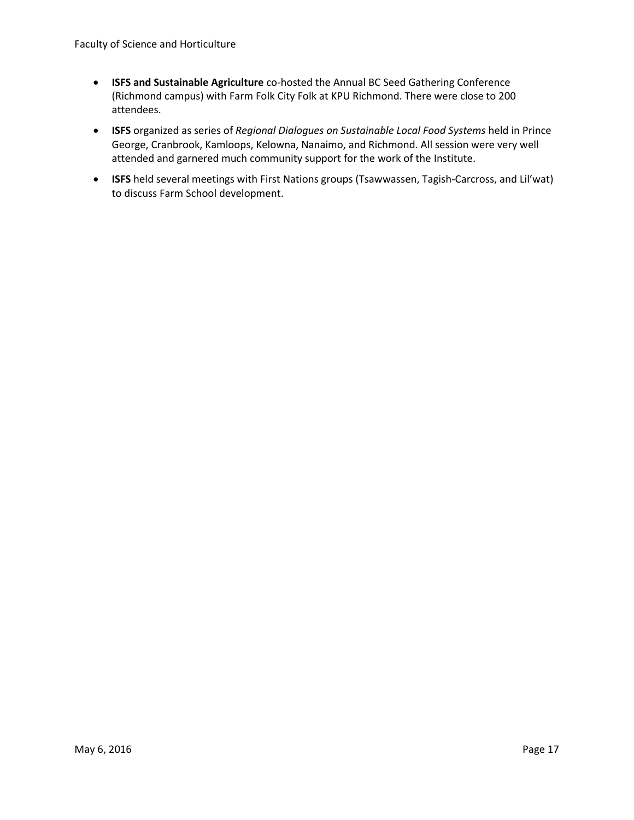- **ISFS and Sustainable Agriculture** co-hosted the Annual BC Seed Gathering Conference (Richmond campus) with Farm Folk City Folk at KPU Richmond. There were close to 200 attendees.
- **ISFS** organized as series of *Regional Dialogues on Sustainable Local Food Systems* held in Prince George, Cranbrook, Kamloops, Kelowna, Nanaimo, and Richmond. All session were very well attended and garnered much community support for the work of the Institute.
- **ISFS** held several meetings with First Nations groups (Tsawwassen, Tagish-Carcross, and Lil'wat) to discuss Farm School development.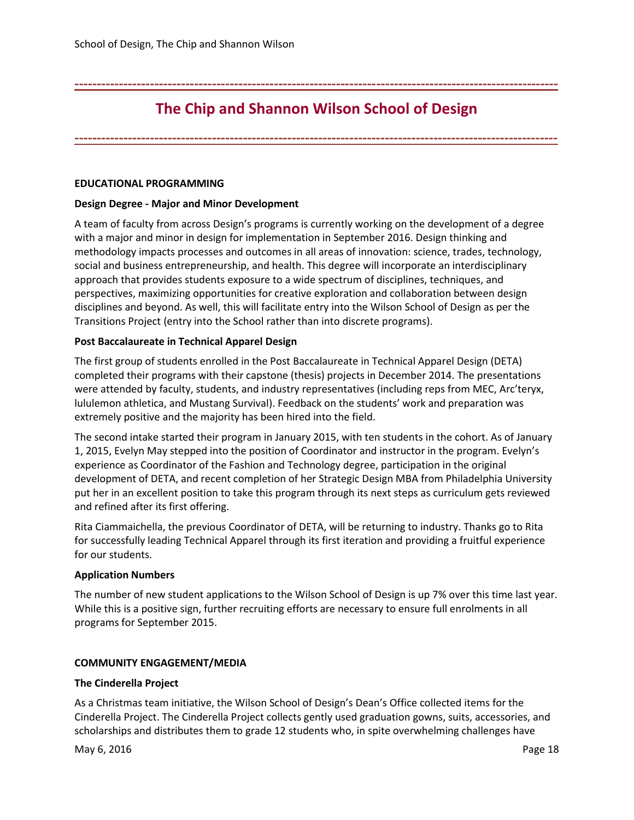<span id="page-17-0"></span>**-------------------------------------------------------------------------------------------------------------**

## **The Chip and Shannon Wilson School of Design**

**-------------------------------------------------------------------------------------------------------------**

## **EDUCATIONAL PROGRAMMING**

## **Design Degree - Major and Minor Development**

A team of faculty from across Design's programs is currently working on the development of a degree with a major and minor in design for implementation in September 2016. Design thinking and methodology impacts processes and outcomes in all areas of innovation: science, trades, technology, social and business entrepreneurship, and health. This degree will incorporate an interdisciplinary approach that provides students exposure to a wide spectrum of disciplines, techniques, and perspectives, maximizing opportunities for creative exploration and collaboration between design disciplines and beyond. As well, this will facilitate entry into the Wilson School of Design as per the Transitions Project (entry into the School rather than into discrete programs).

## **Post Baccalaureate in Technical Apparel Design**

The first group of students enrolled in the Post Baccalaureate in Technical Apparel Design (DETA) completed their programs with their capstone (thesis) projects in December 2014. The presentations were attended by faculty, students, and industry representatives (including reps from MEC, Arc'teryx, lululemon athletica, and Mustang Survival). Feedback on the students' work and preparation was extremely positive and the majority has been hired into the field.

The second intake started their program in January 2015, with ten students in the cohort. As of January 1, 2015, Evelyn May stepped into the position of Coordinator and instructor in the program. Evelyn's experience as Coordinator of the Fashion and Technology degree, participation in the original development of DETA, and recent completion of her Strategic Design MBA from Philadelphia University put her in an excellent position to take this program through its next steps as curriculum gets reviewed and refined after its first offering.

Rita Ciammaichella, the previous Coordinator of DETA, will be returning to industry. Thanks go to Rita for successfully leading Technical Apparel through its first iteration and providing a fruitful experience for our students.

### **Application Numbers**

The number of new student applications to the Wilson School of Design is up 7% over this time last year. While this is a positive sign, further recruiting efforts are necessary to ensure full enrolments in all programs for September 2015.

## **COMMUNITY ENGAGEMENT/MEDIA**

### **The Cinderella Project**

As a Christmas team initiative, the Wilson School of Design's Dean's Office collected items for the Cinderella Project. The Cinderella Project collects gently used graduation gowns, suits, accessories, and scholarships and distributes them to grade 12 students who, in spite overwhelming challenges have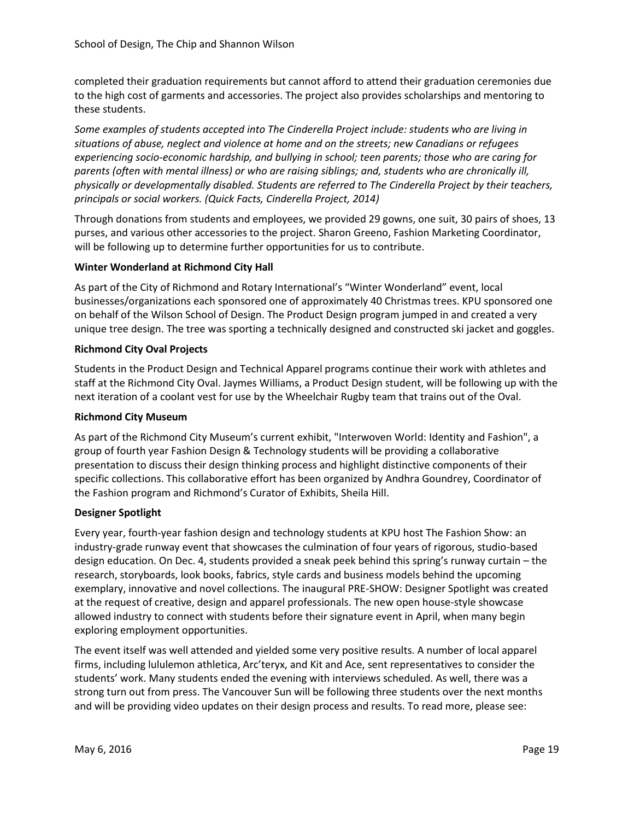completed their graduation requirements but cannot afford to attend their graduation ceremonies due to the high cost of garments and accessories. The project also provides scholarships and mentoring to these students.

*Some examples of students accepted into The Cinderella Project include: students who are living in situations of abuse, neglect and violence at home and on the streets; new Canadians or refugees experiencing socio-economic hardship, and bullying in school; teen parents; those who are caring for parents (often with mental illness) or who are raising siblings; and, students who are chronically ill, physically or developmentally disabled. Students are referred to The Cinderella Project by their teachers, principals or social workers. (Quick Facts, Cinderella Project, 2014)*

Through donations from students and employees, we provided 29 gowns, one suit, 30 pairs of shoes, 13 purses, and various other accessories to the project. Sharon Greeno, Fashion Marketing Coordinator, will be following up to determine further opportunities for us to contribute.

## **Winter Wonderland at Richmond City Hall**

As part of the City of Richmond and Rotary International's "Winter Wonderland" event, local businesses/organizations each sponsored one of approximately 40 Christmas trees. KPU sponsored one on behalf of the Wilson School of Design. The Product Design program jumped in and created a very unique tree design. The tree was sporting a technically designed and constructed ski jacket and goggles.

## **Richmond City Oval Projects**

Students in the Product Design and Technical Apparel programs continue their work with athletes and staff at the Richmond City Oval. Jaymes Williams, a Product Design student, will be following up with the next iteration of a coolant vest for use by the Wheelchair Rugby team that trains out of the Oval.

## **Richmond City Museum**

As part of the Richmond City Museum's current exhibit, "Interwoven World: Identity and Fashion", a group of fourth year Fashion Design & Technology students will be providing a collaborative presentation to discuss their design thinking process and highlight distinctive components of their specific collections. This collaborative effort has been organized by Andhra Goundrey, Coordinator of the Fashion program and Richmond's Curator of Exhibits, Sheila Hill.

## **Designer Spotlight**

Every year, fourth-year fashion design and technology students at KPU host The Fashion Show: an industry-grade runway event that showcases the culmination of four years of rigorous, studio-based design education. On Dec. 4, students provided a sneak peek behind this spring's runway curtain – the research, storyboards, look books, fabrics, style cards and business models behind the upcoming exemplary, innovative and novel collections. The inaugural PRE-SHOW: Designer Spotlight was created at the request of creative, design and apparel professionals. The new open house-style showcase allowed industry to connect with students before their signature event in April, when many begin exploring employment opportunities.

The event itself was well attended and yielded some very positive results. A number of local apparel firms, including lululemon athletica, Arc'teryx, and Kit and Ace, sent representatives to consider the students' work. Many students ended the evening with interviews scheduled. As well, there was a strong turn out from press. The Vancouver Sun will be following three students over the next months and will be providing video updates on their design process and results. To read more, please see: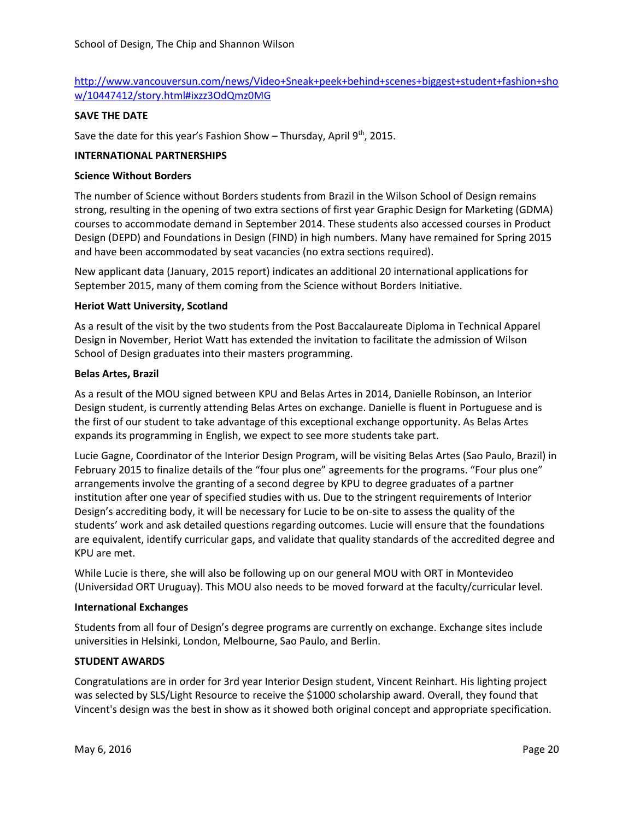## [http://www.vancouversun.com/news/Video+Sneak+peek+behind+scenes+biggest+student+fashion+sho](http://www.vancouversun.com/news/Video+Sneak+peek+behind+scenes+biggest+student+fashion+show/10447412/story.html#ixzz3OdQmz0MG) [w/10447412/story.html#ixzz3OdQmz0MG](http://www.vancouversun.com/news/Video+Sneak+peek+behind+scenes+biggest+student+fashion+show/10447412/story.html#ixzz3OdQmz0MG)

## **SAVE THE DATE**

Save the date for this year's Fashion Show - Thursday, April  $9<sup>th</sup>$ , 2015.

## **INTERNATIONAL PARTNERSHIPS**

### **Science Without Borders**

The number of Science without Borders students from Brazil in the Wilson School of Design remains strong, resulting in the opening of two extra sections of first year Graphic Design for Marketing (GDMA) courses to accommodate demand in September 2014. These students also accessed courses in Product Design (DEPD) and Foundations in Design (FIND) in high numbers. Many have remained for Spring 2015 and have been accommodated by seat vacancies (no extra sections required).

New applicant data (January, 2015 report) indicates an additional 20 international applications for September 2015, many of them coming from the Science without Borders Initiative.

## **Heriot Watt University, Scotland**

As a result of the visit by the two students from the Post Baccalaureate Diploma in Technical Apparel Design in November, Heriot Watt has extended the invitation to facilitate the admission of Wilson School of Design graduates into their masters programming.

### **Belas Artes, Brazil**

As a result of the MOU signed between KPU and Belas Artes in 2014, Danielle Robinson, an Interior Design student, is currently attending Belas Artes on exchange. Danielle is fluent in Portuguese and is the first of our student to take advantage of this exceptional exchange opportunity. As Belas Artes expands its programming in English, we expect to see more students take part.

Lucie Gagne, Coordinator of the Interior Design Program, will be visiting Belas Artes (Sao Paulo, Brazil) in February 2015 to finalize details of the "four plus one" agreements for the programs. "Four plus one" arrangements involve the granting of a second degree by KPU to degree graduates of a partner institution after one year of specified studies with us. Due to the stringent requirements of Interior Design's accrediting body, it will be necessary for Lucie to be on-site to assess the quality of the students' work and ask detailed questions regarding outcomes. Lucie will ensure that the foundations are equivalent, identify curricular gaps, and validate that quality standards of the accredited degree and KPU are met.

While Lucie is there, she will also be following up on our general MOU with ORT in Montevideo (Universidad ORT Uruguay). This MOU also needs to be moved forward at the faculty/curricular level.

### **International Exchanges**

Students from all four of Design's degree programs are currently on exchange. Exchange sites include universities in Helsinki, London, Melbourne, Sao Paulo, and Berlin.

### **STUDENT AWARDS**

Congratulations are in order for 3rd year Interior Design student, Vincent Reinhart. His lighting project was selected by SLS/Light Resource to receive the \$1000 scholarship award. Overall, they found that Vincent's design was the best in show as it showed both original concept and appropriate specification.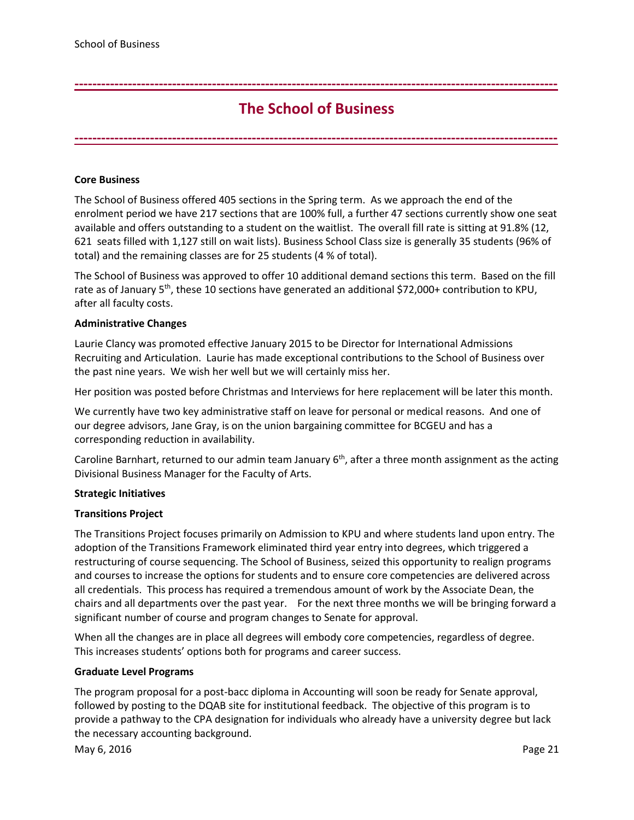# **The School of Business**

<span id="page-20-0"></span>**-------------------------------------------------------------------------------------------------------------**

**-------------------------------------------------------------------------------------------------------------**

## **Core Business**

The School of Business offered 405 sections in the Spring term. As we approach the end of the enrolment period we have 217 sections that are 100% full, a further 47 sections currently show one seat available and offers outstanding to a student on the waitlist. The overall fill rate is sitting at 91.8% (12, 621 seats filled with 1,127 still on wait lists). Business School Class size is generally 35 students (96% of total) and the remaining classes are for 25 students (4 % of total).

The School of Business was approved to offer 10 additional demand sections this term. Based on the fill rate as of January 5<sup>th</sup>, these 10 sections have generated an additional \$72,000+ contribution to KPU, after all faculty costs.

### **Administrative Changes**

Laurie Clancy was promoted effective January 2015 to be Director for International Admissions Recruiting and Articulation. Laurie has made exceptional contributions to the School of Business over the past nine years. We wish her well but we will certainly miss her.

Her position was posted before Christmas and Interviews for here replacement will be later this month.

We currently have two key administrative staff on leave for personal or medical reasons. And one of our degree advisors, Jane Gray, is on the union bargaining committee for BCGEU and has a corresponding reduction in availability.

Caroline Barnhart, returned to our admin team January  $6<sup>th</sup>$ , after a three month assignment as the acting Divisional Business Manager for the Faculty of Arts.

### **Strategic Initiatives**

### **Transitions Project**

The Transitions Project focuses primarily on Admission to KPU and where students land upon entry. The adoption of the Transitions Framework eliminated third year entry into degrees, which triggered a restructuring of course sequencing. The School of Business, seized this opportunity to realign programs and courses to increase the options for students and to ensure core competencies are delivered across all credentials. This process has required a tremendous amount of work by the Associate Dean, the chairs and all departments over the past year. For the next three months we will be bringing forward a significant number of course and program changes to Senate for approval.

When all the changes are in place all degrees will embody core competencies, regardless of degree. This increases students' options both for programs and career success.

### **Graduate Level Programs**

The program proposal for a post-bacc diploma in Accounting will soon be ready for Senate approval, followed by posting to the DQAB site for institutional feedback. The objective of this program is to provide a pathway to the CPA designation for individuals who already have a university degree but lack the necessary accounting background.

May 6, 2016 **Page 21**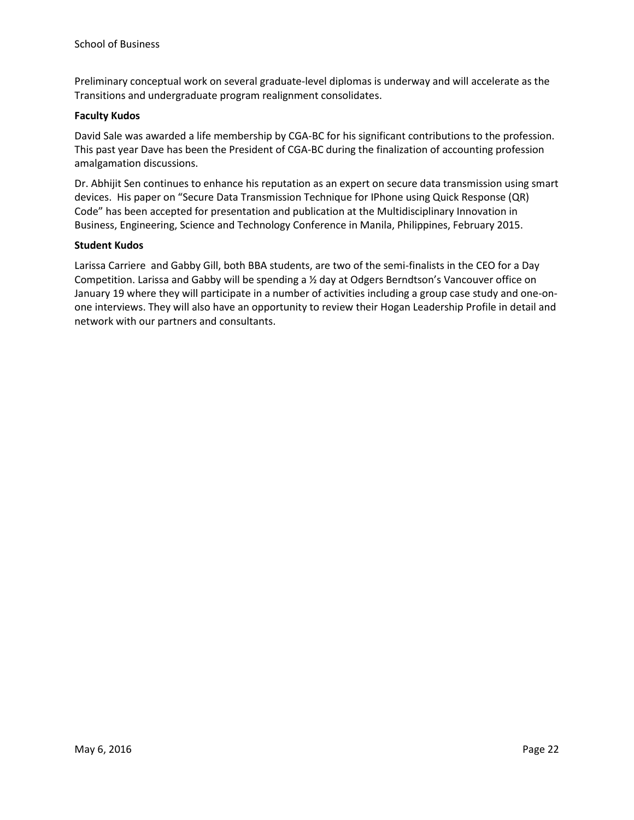Preliminary conceptual work on several graduate-level diplomas is underway and will accelerate as the Transitions and undergraduate program realignment consolidates.

## **Faculty Kudos**

David Sale was awarded a life membership by CGA-BC for his significant contributions to the profession. This past year Dave has been the President of CGA-BC during the finalization of accounting profession amalgamation discussions.

Dr. Abhijit Sen continues to enhance his reputation as an expert on secure data transmission using smart devices. His paper on "Secure Data Transmission Technique for IPhone using Quick Response (QR) Code" has been accepted for presentation and publication at the Multidisciplinary Innovation in Business, Engineering, Science and Technology Conference in Manila, Philippines, February 2015.

## **Student Kudos**

Larissa Carriere and Gabby Gill, both BBA students, are two of the semi-finalists in the CEO for a Day Competition. Larissa and Gabby will be spending a ½ day at Odgers Berndtson's Vancouver office on January 19 where they will participate in a number of activities including a group case study and one-onone interviews. They will also have an opportunity to review their Hogan Leadership Profile in detail and network with our partners and consultants.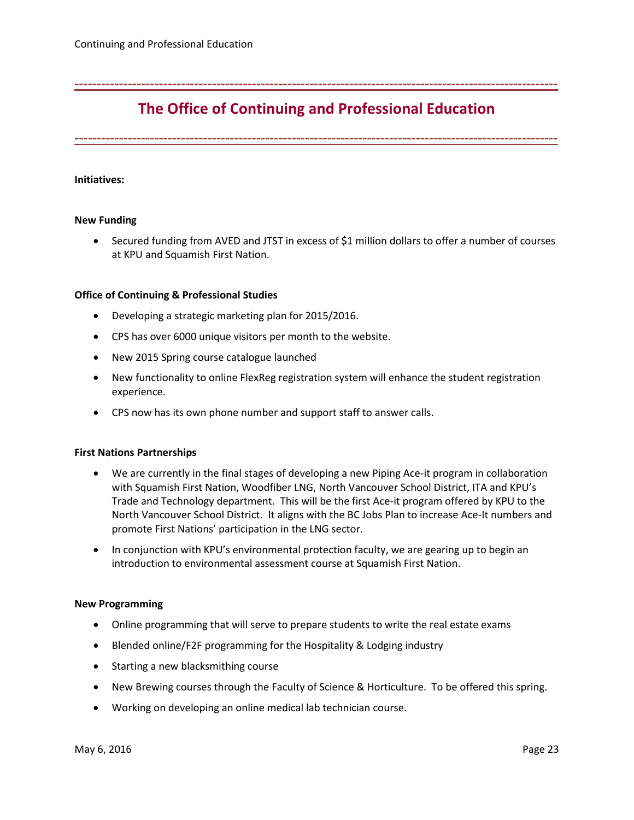# **The Office of Continuing and Professional Education**

<span id="page-22-0"></span>**-------------------------------------------------------------------------------------------------------------**

**-------------------------------------------------------------------------------------------------------------**

### **Initiatives:**

#### **New Funding**

• Secured funding from AVED and JTST in excess of \$1 million dollars to offer a number of courses at KPU and Squamish First Nation.

#### **Office of Continuing & Professional Studies**

- Developing a strategic marketing plan for 2015/2016.
- CPS has over 6000 unique visitors per month to the website.
- New 2015 Spring course catalogue launched
- New functionality to online FlexReg registration system will enhance the student registration experience.
- CPS now has its own phone number and support staff to answer calls.

### **First Nations Partnerships**

- We are currently in the final stages of developing a new Piping Ace-it program in collaboration with Squamish First Nation, Woodfiber LNG, North Vancouver School District, ITA and KPU's Trade and Technology department. This will be the first Ace-it program offered by KPU to the North Vancouver School District. It aligns with the BC Jobs Plan to increase Ace-It numbers and promote First Nations' participation in the LNG sector.
- In conjunction with KPU's environmental protection faculty, we are gearing up to begin an introduction to environmental assessment course at Squamish First Nation.

### **New Programming**

- Online programming that will serve to prepare students to write the real estate exams
- Blended online/F2F programming for the Hospitality & Lodging industry
- Starting a new blacksmithing course
- New Brewing courses through the Faculty of Science & Horticulture. To be offered this spring.
- Working on developing an online medical lab technician course.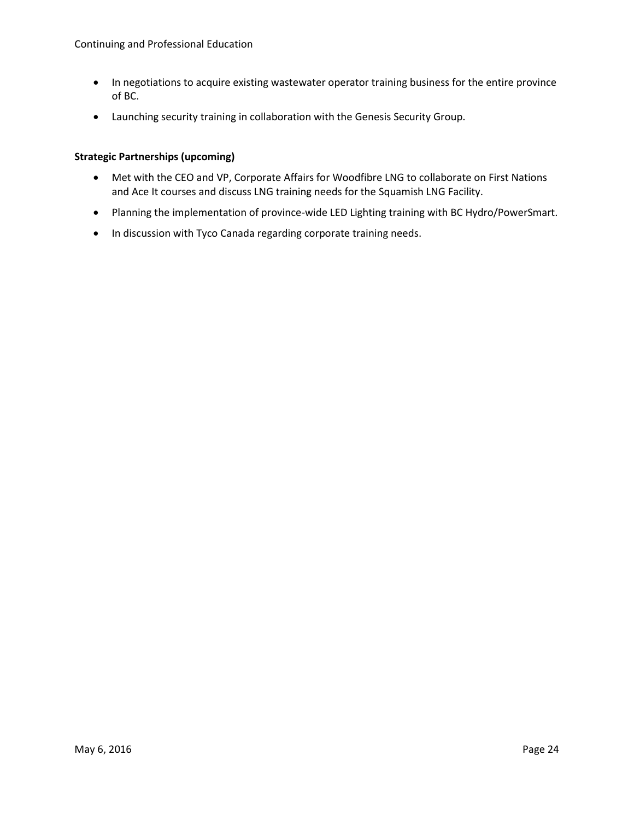- In negotiations to acquire existing wastewater operator training business for the entire province of BC.
- Launching security training in collaboration with the Genesis Security Group.

## **Strategic Partnerships (upcoming)**

- Met with the CEO and VP, Corporate Affairs for Woodfibre LNG to collaborate on First Nations and Ace It courses and discuss LNG training needs for the Squamish LNG Facility.
- Planning the implementation of province-wide LED Lighting training with BC Hydro/PowerSmart.
- In discussion with Tyco Canada regarding corporate training needs.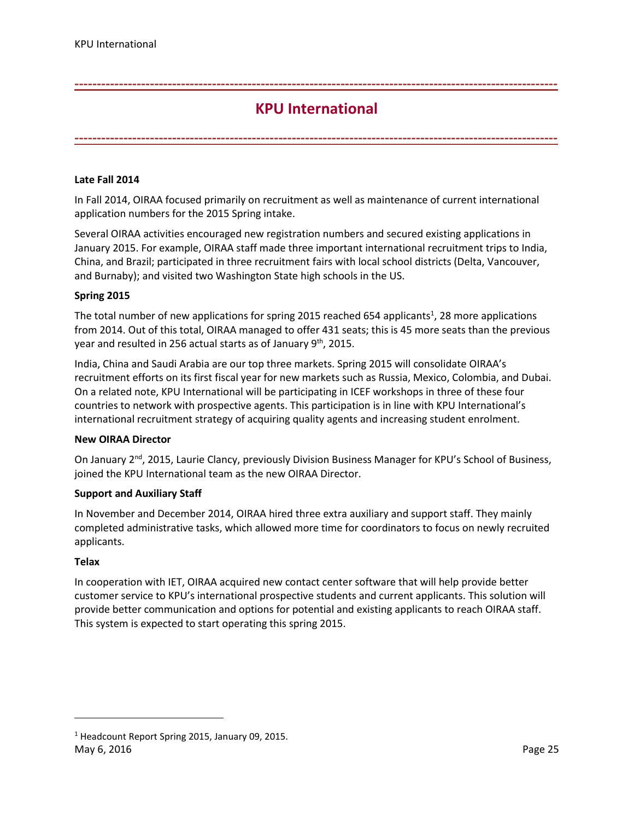## **KPU International**

<span id="page-24-0"></span>**-------------------------------------------------------------------------------------------------------------**

**-------------------------------------------------------------------------------------------------------------**

## **Late Fall 2014**

In Fall 2014, OIRAA focused primarily on recruitment as well as maintenance of current international application numbers for the 2015 Spring intake.

Several OIRAA activities encouraged new registration numbers and secured existing applications in January 2015. For example, OIRAA staff made three important international recruitment trips to India, China, and Brazil; participated in three recruitment fairs with local school districts (Delta, Vancouver, and Burnaby); and visited two Washington State high schools in the US.

## **Spring 2015**

The total number of new applications for spring 2015 reached 654 applicants<sup>1</sup>, 28 more applications from 2014. Out of this total, OIRAA managed to offer 431 seats; this is 45 more seats than the previous year and resulted in 256 actual starts as of January 9<sup>th</sup>, 2015.

India, China and Saudi Arabia are our top three markets. Spring 2015 will consolidate OIRAA's recruitment efforts on its first fiscal year for new markets such as Russia, Mexico, Colombia, and Dubai. On a related note, KPU International will be participating in ICEF workshops in three of these four countries to network with prospective agents. This participation is in line with KPU International's international recruitment strategy of acquiring quality agents and increasing student enrolment.

### **New OIRAA Director**

On January 2<sup>nd</sup>, 2015, Laurie Clancy, previously Division Business Manager for KPU's School of Business, joined the KPU International team as the new OIRAA Director.

### **Support and Auxiliary Staff**

In November and December 2014, OIRAA hired three extra auxiliary and support staff. They mainly completed administrative tasks, which allowed more time for coordinators to focus on newly recruited applicants.

### **Telax**

In cooperation with IET, OIRAA acquired new contact center software that will help provide better customer service to KPU's international prospective students and current applicants. This solution will provide better communication and options for potential and existing applicants to reach OIRAA staff. This system is expected to start operating this spring 2015.

l

May 6, 2016 **Page 25**  $1$  Headcount Report Spring 2015, January 09, 2015.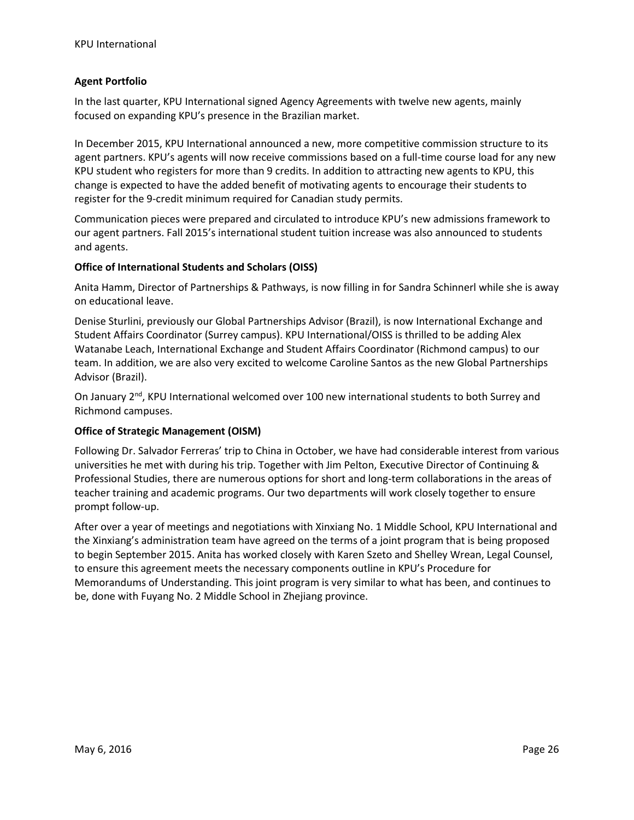## **Agent Portfolio**

In the last quarter, KPU International signed Agency Agreements with twelve new agents, mainly focused on expanding KPU's presence in the Brazilian market.

In December 2015, KPU International announced a new, more competitive commission structure to its agent partners. KPU's agents will now receive commissions based on a full-time course load for any new KPU student who registers for more than 9 credits. In addition to attracting new agents to KPU, this change is expected to have the added benefit of motivating agents to encourage their students to register for the 9-credit minimum required for Canadian study permits.

Communication pieces were prepared and circulated to introduce KPU's new admissions framework to our agent partners. Fall 2015's international student tuition increase was also announced to students and agents.

## **Office of International Students and Scholars (OISS)**

Anita Hamm, Director of Partnerships & Pathways, is now filling in for Sandra Schinnerl while she is away on educational leave.

Denise Sturlini, previously our Global Partnerships Advisor (Brazil), is now International Exchange and Student Affairs Coordinator (Surrey campus). KPU International/OISS is thrilled to be adding Alex Watanabe Leach, International Exchange and Student Affairs Coordinator (Richmond campus) to our team. In addition, we are also very excited to welcome Caroline Santos as the new Global Partnerships Advisor (Brazil).

On January  $2<sup>nd</sup>$ , KPU International welcomed over 100 new international students to both Surrey and Richmond campuses.

## **Office of Strategic Management (OISM)**

Following Dr. Salvador Ferreras' trip to China in October, we have had considerable interest from various universities he met with during his trip. Together with Jim Pelton, Executive Director of Continuing & Professional Studies, there are numerous options for short and long-term collaborations in the areas of teacher training and academic programs. Our two departments will work closely together to ensure prompt follow-up.

After over a year of meetings and negotiations with Xinxiang No. 1 Middle School, KPU International and the Xinxiang's administration team have agreed on the terms of a joint program that is being proposed to begin September 2015. Anita has worked closely with Karen Szeto and Shelley Wrean, Legal Counsel, to ensure this agreement meets the necessary components outline in KPU's Procedure for Memorandums of Understanding. This joint program is very similar to what has been, and continues to be, done with Fuyang No. 2 Middle School in Zhejiang province.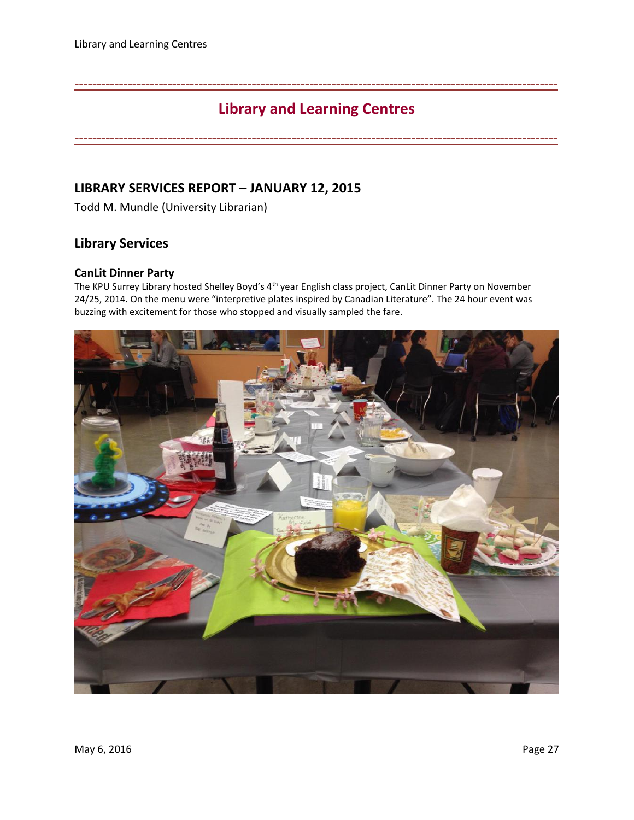# **Library and Learning Centres**

**-------------------------------------------------------------------------------------------------------------**

<span id="page-26-0"></span>**-------------------------------------------------------------------------------------------------------------**

## **LIBRARY SERVICES REPORT – JANUARY 12, 2015**

Todd M. Mundle (University Librarian)

## **Library Services**

## **CanLit Dinner Party**

The KPU Surrey Library hosted Shelley Boyd's 4th year English class project, CanLit Dinner Party on November 24/25, 2014. On the menu were "interpretive plates inspired by Canadian Literature". The 24 hour event was buzzing with excitement for those who stopped and visually sampled the fare.

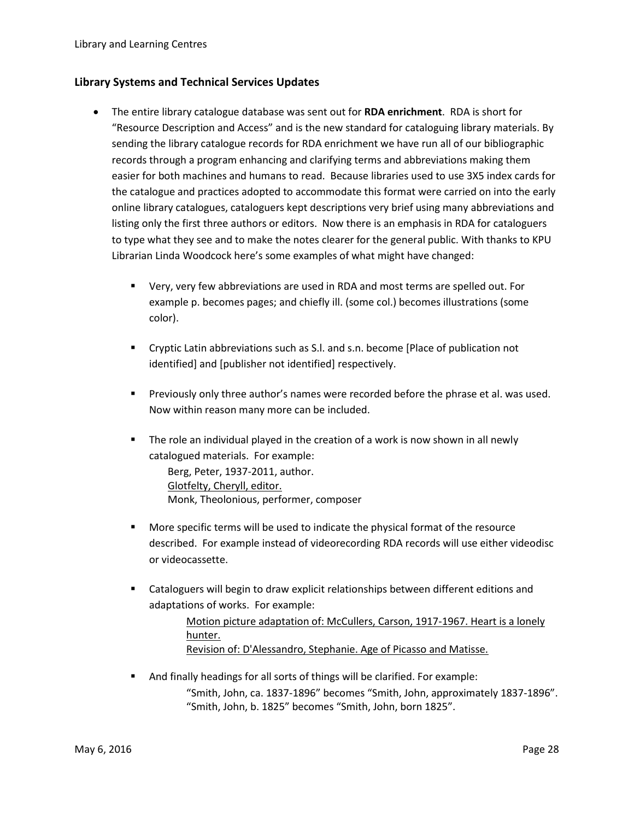## **Library Systems and Technical Services Updates**

- The entire library catalogue database was sent out for **RDA enrichment**. RDA is short for "Resource Description and Access" and is the new standard for cataloguing library materials. By sending the library catalogue records for RDA enrichment we have run all of our bibliographic records through a program enhancing and clarifying terms and abbreviations making them easier for both machines and humans to read. Because libraries used to use 3X5 index cards for the catalogue and practices adopted to accommodate this format were carried on into the early online library catalogues, cataloguers kept descriptions very brief using many abbreviations and listing only the first three authors or editors. Now there is an emphasis in RDA for cataloguers to type what they see and to make the notes clearer for the general public. With thanks to KPU Librarian Linda Woodcock here's some examples of what might have changed:
	- Very, very few abbreviations are used in RDA and most terms are spelled out. For example p. becomes pages; and chiefly ill. (some col.) becomes illustrations (some color).
	- Cryptic Latin abbreviations such as S.l. and s.n. become [Place of publication not identified] and [publisher not identified] respectively.
	- Previously only three author's names were recorded before the phrase et al. was used. Now within reason many more can be included.
	- The role an individual played in the creation of a work is now shown in all newly catalogued materials. For example: Berg, Peter, 1937-2011, author. [Glotfelty, Cheryll, editor.](https://fire.kwantlen.ca/uhtbin/cgisirsi/?ps=l3GRPjCM6N/SURREY/203780121/18/X700/XAUTHOR/Glotfelty,%20Cheryll,%20editor.) Monk, Theolonious, performer, composer
	- **More specific terms will be used to indicate the physical format of the resource** described. For example instead of videorecording RDA records will use either videodisc or videocassette.
	- Cataloguers will begin to draw explicit relationships between different editions and adaptations of works. For example:

[Motion picture adaptation of: McCullers, Carson, 1917-1967. Heart is a lonely](https://fire.kwantlen.ca/uhtbin/cgisirsi/?ps=LUp1Nu0Olg/SURREY/203780121/18/X700/XAUTHOR/Motion%20picutre%20adaptation%20of:%20McCullers,%20Carson,%201917-1967.%20Heart%20is%20a%20lonely%20hunter.)  [hunter.](https://fire.kwantlen.ca/uhtbin/cgisirsi/?ps=LUp1Nu0Olg/SURREY/203780121/18/X700/XAUTHOR/Motion%20picutre%20adaptation%20of:%20McCullers,%20Carson,%201917-1967.%20Heart%20is%20a%20lonely%20hunter.) [Revision of: D'Alessandro, Stephanie. Age of Picasso and Matisse.](https://fire.kwantlen.ca/uhtbin/cgisirsi/?ps=CPBCkr4LWs/SURREY/203780121/18/X700/XAUTHOR/Revision%20of:%20D%27Alessandro,%20Stephanie.%20Age%20of%20Picasso%20and%20Matisse.)

 And finally headings for all sorts of things will be clarified. For example: "Smith, John, ca. 1837-1896" becomes "Smith, John, approximately 1837-1896". "Smith, John, b. 1825" becomes "Smith, John, born 1825".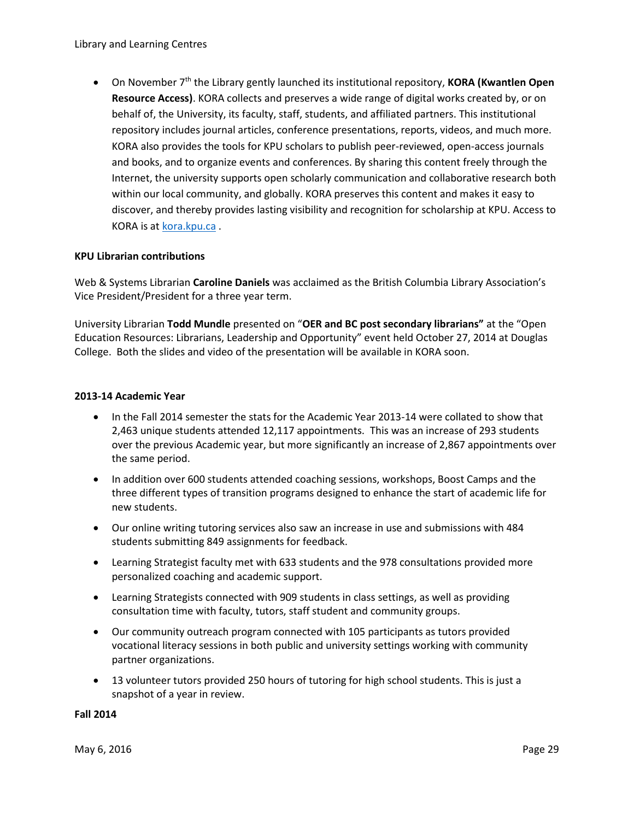On November 7th the Library gently launched its institutional repository, **KORA (Kwantlen Open Resource Access)**. KORA collects and preserves a wide range of digital works created by, or on behalf of, the University, its faculty, staff, students, and affiliated partners. This institutional repository includes journal articles, conference presentations, reports, videos, and much more. KORA also provides the tools for KPU scholars to publish peer-reviewed, open-access journals and books, and to organize events and conferences. By sharing this content freely through the Internet, the university supports open scholarly communication and collaborative research both within our local community, and globally. KORA preserves this content and makes it easy to discover, and thereby provides lasting visibility and recognition for scholarship at KPU. Access to KORA is a[t kora.kpu.ca](http://kora.kpu.ca/) .

## **KPU Librarian contributions**

Web & Systems Librarian **Caroline Daniels** was acclaimed as the British Columbia Library Association's Vice President/President for a three year term.

University Librarian **Todd Mundle** presented on "**OER and BC post secondary librarians"** at the "Open Education Resources: Librarians, Leadership and Opportunity" event held October 27, 2014 at Douglas College. Both the slides and video of the presentation will be available in KORA soon.

## **2013-14 Academic Year**

- In the Fall 2014 semester the stats for the Academic Year 2013-14 were collated to show that 2,463 unique students attended 12,117 appointments. This was an increase of 293 students over the previous Academic year, but more significantly an increase of 2,867 appointments over the same period.
- In addition over 600 students attended coaching sessions, workshops, Boost Camps and the three different types of transition programs designed to enhance the start of academic life for new students.
- Our online writing tutoring services also saw an increase in use and submissions with 484 students submitting 849 assignments for feedback.
- Learning Strategist faculty met with 633 students and the 978 consultations provided more personalized coaching and academic support.
- Learning Strategists connected with 909 students in class settings, as well as providing consultation time with faculty, tutors, staff student and community groups.
- Our community outreach program connected with 105 participants as tutors provided vocational literacy sessions in both public and university settings working with community partner organizations.
- 13 volunteer tutors provided 250 hours of tutoring for high school students. This is just a snapshot of a year in review.

### **Fall 2014**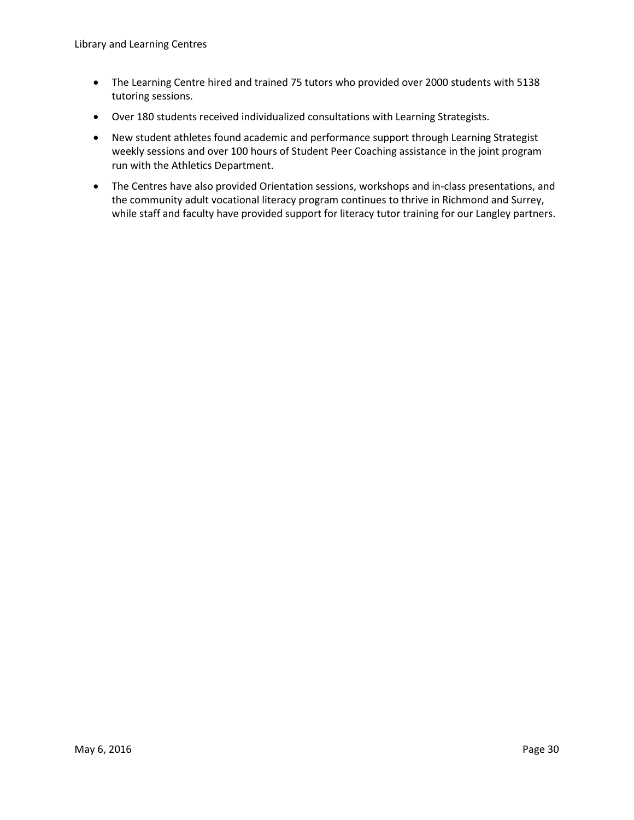- The Learning Centre hired and trained 75 tutors who provided over 2000 students with 5138 tutoring sessions.
- Over 180 students received individualized consultations with Learning Strategists.
- New student athletes found academic and performance support through Learning Strategist weekly sessions and over 100 hours of Student Peer Coaching assistance in the joint program run with the Athletics Department.
- The Centres have also provided Orientation sessions, workshops and in-class presentations, and the community adult vocational literacy program continues to thrive in Richmond and Surrey, while staff and faculty have provided support for literacy tutor training for our Langley partners.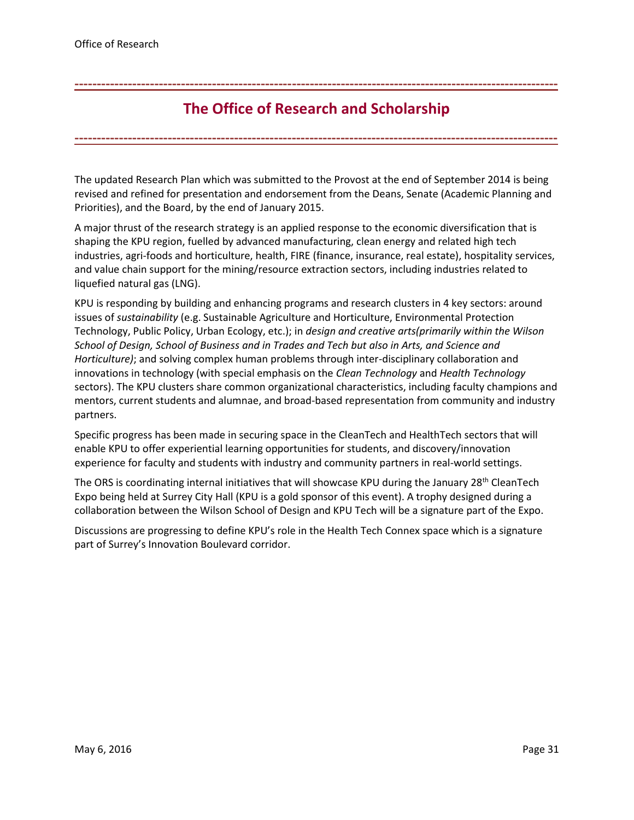# **The Office of Research and Scholarship**

**-------------------------------------------------------------------------------------------------------------**

<span id="page-30-0"></span>**-------------------------------------------------------------------------------------------------------------**

The updated Research Plan which was submitted to the Provost at the end of September 2014 is being revised and refined for presentation and endorsement from the Deans, Senate (Academic Planning and Priorities), and the Board, by the end of January 2015.

A major thrust of the research strategy is an applied response to the economic diversification that is shaping the KPU region, fuelled by advanced manufacturing, clean energy and related high tech industries, agri-foods and horticulture, health, FIRE (finance, insurance, real estate), hospitality services, and value chain support for the mining/resource extraction sectors, including industries related to liquefied natural gas (LNG).

KPU is responding by building and enhancing programs and research clusters in 4 key sectors: around issues of *sustainability* (e.g. Sustainable Agriculture and Horticulture, Environmental Protection Technology, Public Policy, Urban Ecology, etc.); in *design and creative arts(primarily within the Wilson School of Design, School of Business and in Trades and Tech but also in Arts, and Science and Horticulture)*; and solving complex human problems through inter-disciplinary collaboration and innovations in technology (with special emphasis on the *Clean Technology* and *Health Technology* sectors). The KPU clusters share common organizational characteristics, including faculty champions and mentors, current students and alumnae, and broad-based representation from community and industry partners.

Specific progress has been made in securing space in the CleanTech and HealthTech sectors that will enable KPU to offer experiential learning opportunities for students, and discovery/innovation experience for faculty and students with industry and community partners in real-world settings.

The ORS is coordinating internal initiatives that will showcase KPU during the January 28<sup>th</sup> CleanTech Expo being held at Surrey City Hall (KPU is a gold sponsor of this event). A trophy designed during a collaboration between the Wilson School of Design and KPU Tech will be a signature part of the Expo.

Discussions are progressing to define KPU's role in the Health Tech Connex space which is a signature part of Surrey's Innovation Boulevard corridor.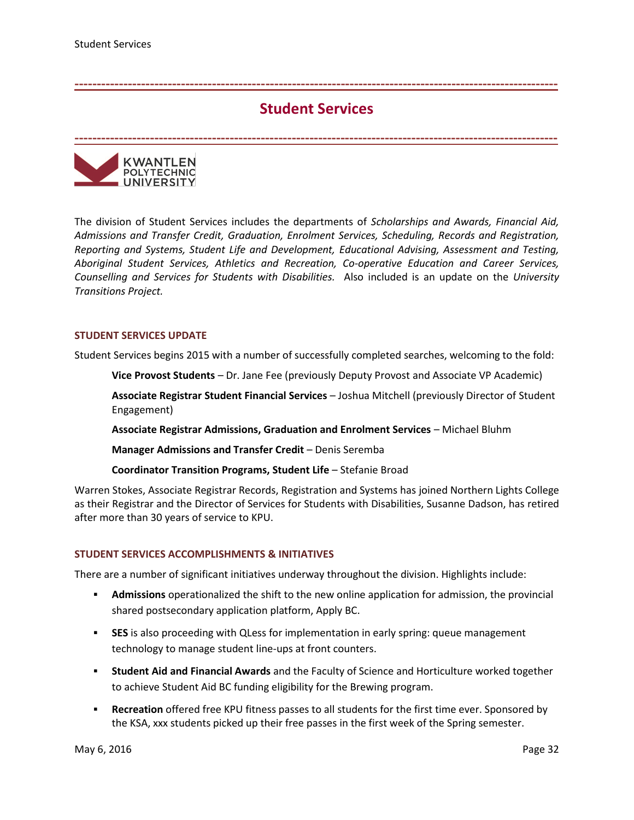## **Student Services**

**-------------------------------------------------------------------------------------------------------------**

<span id="page-31-0"></span>**-------------------------------------------------------------------------------------------------------------**

KWANTLEN **POLYTECHNIC UNIVERSITY** 

The division of Student Services includes the departments of *Scholarships and Awards, Financial Aid, Admissions and Transfer Credit, Graduation, Enrolment Services, Scheduling, Records and Registration, Reporting and Systems, Student Life and Development, Educational Advising, Assessment and Testing, Aboriginal Student Services, Athletics and Recreation, Co-operative Education and Career Services, Counselling and Services for Students with Disabilities.* Also included is an update on the *University Transitions Project.*

### **STUDENT SERVICES UPDATE**

Student Services begins 2015 with a number of successfully completed searches, welcoming to the fold:

**Vice Provost Students** – Dr. Jane Fee (previously Deputy Provost and Associate VP Academic)

**Associate Registrar Student Financial Services** – Joshua Mitchell (previously Director of Student Engagement)

**Associate Registrar Admissions, Graduation and Enrolment Services** – Michael Bluhm

**Manager Admissions and Transfer Credit** – Denis Seremba

**Coordinator Transition Programs, Student Life** – Stefanie Broad

Warren Stokes, Associate Registrar Records, Registration and Systems has joined Northern Lights College as their Registrar and the Director of Services for Students with Disabilities, Susanne Dadson, has retired after more than 30 years of service to KPU.

### **STUDENT SERVICES ACCOMPLISHMENTS & INITIATIVES**

There are a number of significant initiatives underway throughout the division. Highlights include:

- **Admissions** operationalized the shift to the new online application for admission, the provincial shared postsecondary application platform, Apply BC.
- **SES** is also proceeding with QLess for implementation in early spring: queue management technology to manage student line-ups at front counters.
- **Student Aid and Financial Awards** and the Faculty of Science and Horticulture worked together to achieve Student Aid BC funding eligibility for the Brewing program.
- **Recreation** offered free KPU fitness passes to all students for the first time ever. Sponsored by the KSA, xxx students picked up their free passes in the first week of the Spring semester.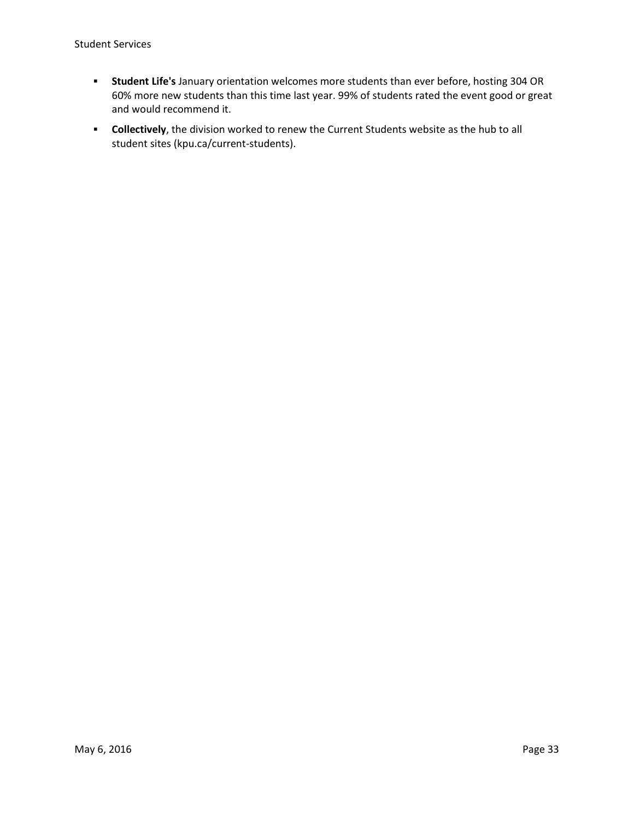- **Student Life's** January orientation welcomes more students than ever before, hosting 304 OR 60% more new students than this time last year. 99% of students rated the event good or great and would recommend it.
- **Collectively**, the division worked to renew the Current Students website as the hub to all student sites (kpu.ca/current-students).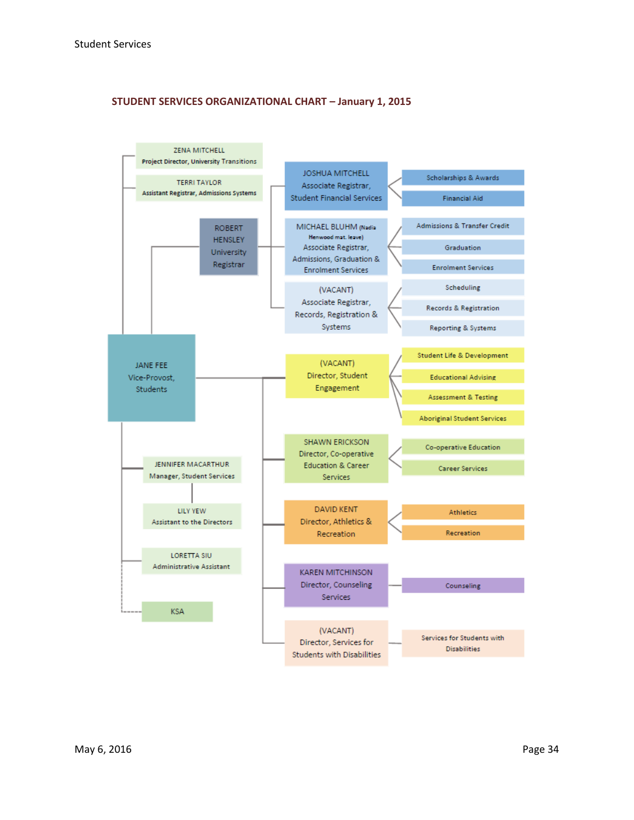## **STUDENT SERVICES ORGANIZATIONAL CHART – January 1, 2015**

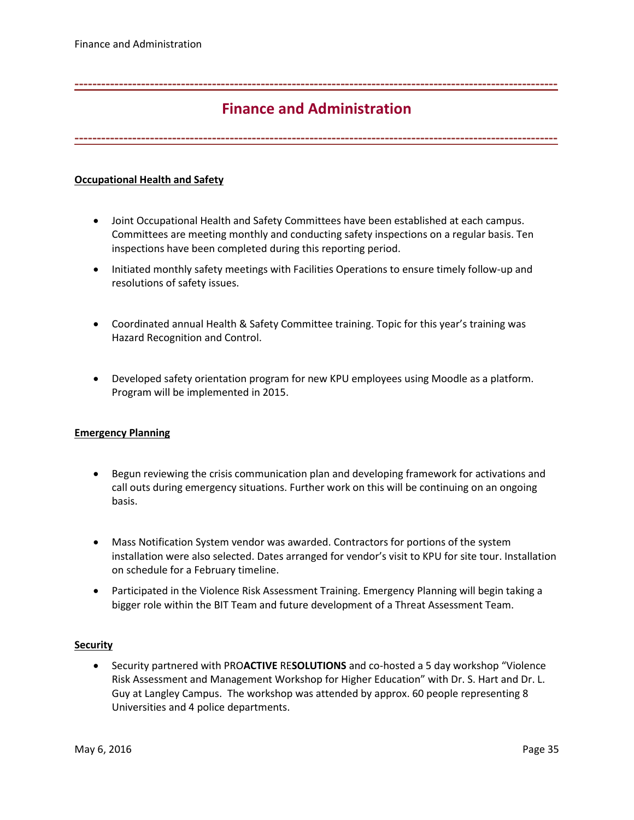# **Finance and Administration**

<span id="page-34-0"></span>**-------------------------------------------------------------------------------------------------------------**

**-------------------------------------------------------------------------------------------------------------**

## **Occupational Health and Safety**

- Joint Occupational Health and Safety Committees have been established at each campus. Committees are meeting monthly and conducting safety inspections on a regular basis. Ten inspections have been completed during this reporting period.
- Initiated monthly safety meetings with Facilities Operations to ensure timely follow-up and resolutions of safety issues.
- Coordinated annual Health & Safety Committee training. Topic for this year's training was Hazard Recognition and Control.
- Developed safety orientation program for new KPU employees using Moodle as a platform. Program will be implemented in 2015.

### **Emergency Planning**

- Begun reviewing the crisis communication plan and developing framework for activations and call outs during emergency situations. Further work on this will be continuing on an ongoing basis.
- Mass Notification System vendor was awarded. Contractors for portions of the system installation were also selected. Dates arranged for vendor's visit to KPU for site tour. Installation on schedule for a February timeline.
- Participated in the Violence Risk Assessment Training. Emergency Planning will begin taking a bigger role within the BIT Team and future development of a Threat Assessment Team.

### **Security**

 Security partnered with PRO**ACTIVE** RE**SOLUTIONS** and co-hosted a 5 day workshop "Violence Risk Assessment and Management Workshop for Higher Education" with Dr. S. Hart and Dr. L. Guy at Langley Campus. The workshop was attended by approx. 60 people representing 8 Universities and 4 police departments.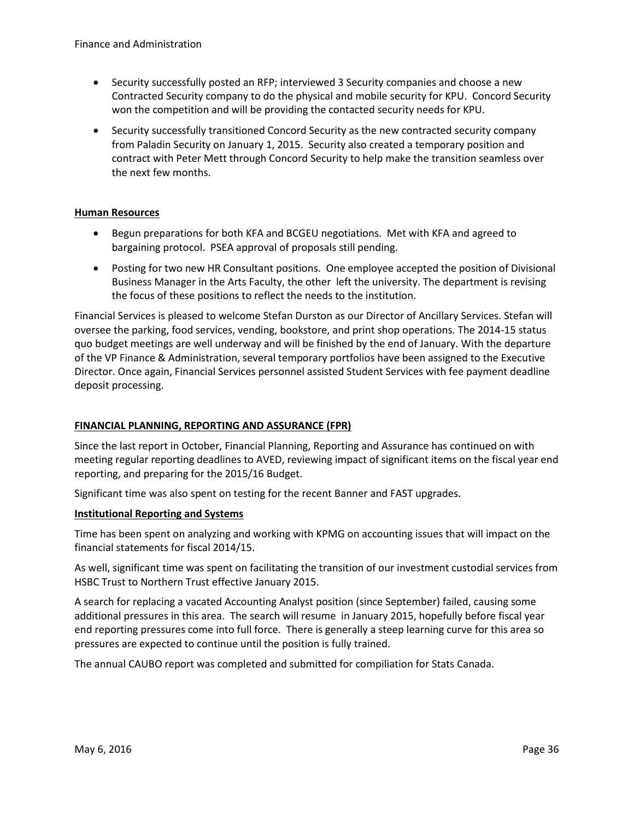- Security successfully posted an RFP; interviewed 3 Security companies and choose a new Contracted Security company to do the physical and mobile security for KPU. Concord Security won the competition and will be providing the contacted security needs for KPU.
- Security successfully transitioned Concord Security as the new contracted security company from Paladin Security on January 1, 2015. Security also created a temporary position and contract with Peter Mett through Concord Security to help make the transition seamless over the next few months.

## **Human Resources**

- Begun preparations for both KFA and BCGEU negotiations. Met with KFA and agreed to bargaining protocol. PSEA approval of proposals still pending.
- Posting for two new HR Consultant positions. One employee accepted the position of Divisional Business Manager in the Arts Faculty, the other left the university. The department is revising the focus of these positions to reflect the needs to the institution.

Financial Services is pleased to welcome Stefan Durston as our Director of Ancillary Services. Stefan will oversee the parking, food services, vending, bookstore, and print shop operations. The 2014-15 status quo budget meetings are well underway and will be finished by the end of January. With the departure of the VP Finance & Administration, several temporary portfolios have been assigned to the Executive Director. Once again, Financial Services personnel assisted Student Services with fee payment deadline deposit processing.

## **FINANCIAL PLANNING, REPORTING AND ASSURANCE (FPR)**

Since the last report in October, Financial Planning, Reporting and Assurance has continued on with meeting regular reporting deadlines to AVED, reviewing impact of significant items on the fiscal year end reporting, and preparing for the 2015/16 Budget.

Significant time was also spent on testing for the recent Banner and FAST upgrades.

### **Institutional Reporting and Systems**

Time has been spent on analyzing and working with KPMG on accounting issues that will impact on the financial statements for fiscal 2014/15.

As well, significant time was spent on facilitating the transition of our investment custodial services from HSBC Trust to Northern Trust effective January 2015.

A search for replacing a vacated Accounting Analyst position (since September) failed, causing some additional pressures in this area. The search will resume in January 2015, hopefully before fiscal year end reporting pressures come into full force. There is generally a steep learning curve for this area so pressures are expected to continue until the position is fully trained.

The annual CAUBO report was completed and submitted for compiliation for Stats Canada.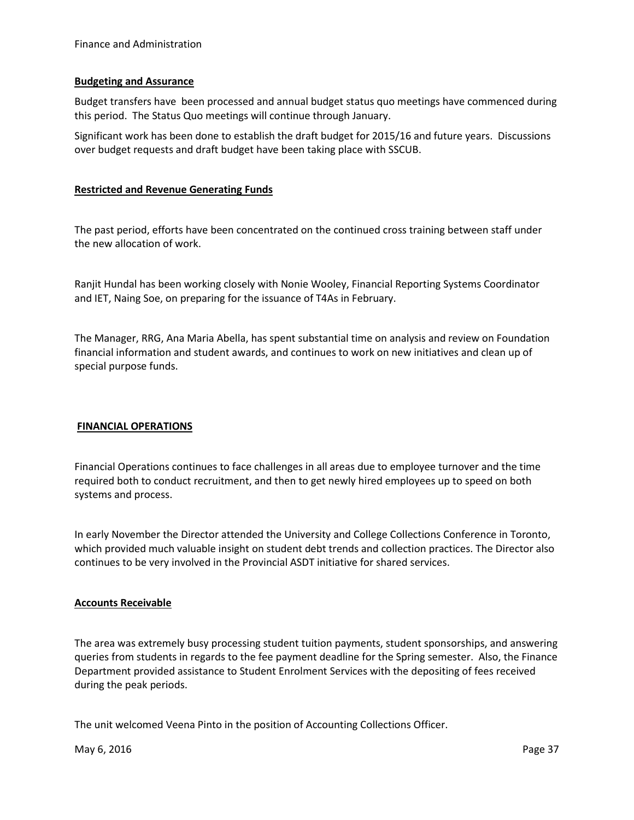### **Budgeting and Assurance**

Budget transfers have been processed and annual budget status quo meetings have commenced during this period. The Status Quo meetings will continue through January.

Significant work has been done to establish the draft budget for 2015/16 and future years. Discussions over budget requests and draft budget have been taking place with SSCUB.

## **Restricted and Revenue Generating Funds**

The past period, efforts have been concentrated on the continued cross training between staff under the new allocation of work.

Ranjit Hundal has been working closely with Nonie Wooley, Financial Reporting Systems Coordinator and IET, Naing Soe, on preparing for the issuance of T4As in February.

The Manager, RRG, Ana Maria Abella, has spent substantial time on analysis and review on Foundation financial information and student awards, and continues to work on new initiatives and clean up of special purpose funds.

### **FINANCIAL OPERATIONS**

Financial Operations continues to face challenges in all areas due to employee turnover and the time required both to conduct recruitment, and then to get newly hired employees up to speed on both systems and process.

In early November the Director attended the University and College Collections Conference in Toronto, which provided much valuable insight on student debt trends and collection practices. The Director also continues to be very involved in the Provincial ASDT initiative for shared services.

### **Accounts Receivable**

The area was extremely busy processing student tuition payments, student sponsorships, and answering queries from students in regards to the fee payment deadline for the Spring semester. Also, the Finance Department provided assistance to Student Enrolment Services with the depositing of fees received during the peak periods.

The unit welcomed Veena Pinto in the position of Accounting Collections Officer.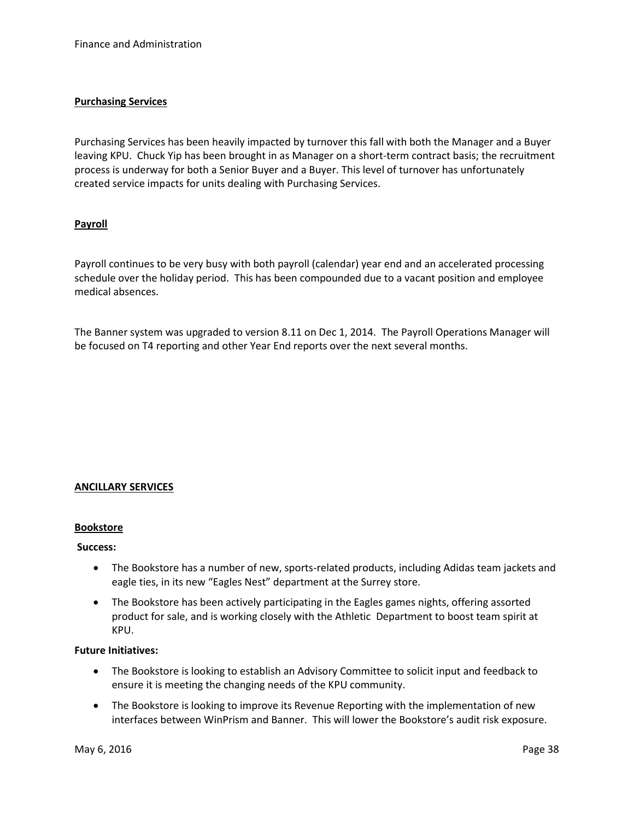## **Purchasing Services**

Purchasing Services has been heavily impacted by turnover this fall with both the Manager and a Buyer leaving KPU. Chuck Yip has been brought in as Manager on a short-term contract basis; the recruitment process is underway for both a Senior Buyer and a Buyer. This level of turnover has unfortunately created service impacts for units dealing with Purchasing Services.

## **Payroll**

Payroll continues to be very busy with both payroll (calendar) year end and an accelerated processing schedule over the holiday period. This has been compounded due to a vacant position and employee medical absences.

The Banner system was upgraded to version 8.11 on Dec 1, 2014. The Payroll Operations Manager will be focused on T4 reporting and other Year End reports over the next several months.

### **ANCILLARY SERVICES**

### **Bookstore**

#### **Success:**

- The Bookstore has a number of new, sports-related products, including Adidas team jackets and eagle ties, in its new "Eagles Nest" department at the Surrey store.
- The Bookstore has been actively participating in the Eagles games nights, offering assorted product for sale, and is working closely with the Athletic Department to boost team spirit at KPU.

#### **Future Initiatives:**

- The Bookstore is looking to establish an Advisory Committee to solicit input and feedback to ensure it is meeting the changing needs of the KPU community.
- The Bookstore is looking to improve its Revenue Reporting with the implementation of new interfaces between WinPrism and Banner. This will lower the Bookstore's audit risk exposure.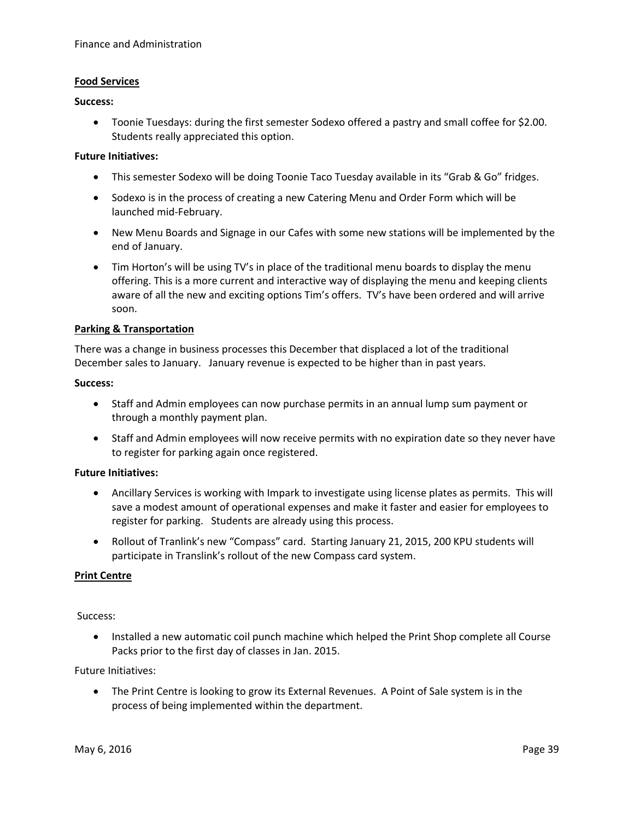### **Food Services**

#### **Success:**

 Toonie Tuesdays: during the first semester Sodexo offered a pastry and small coffee for \$2.00. Students really appreciated this option.

### **Future Initiatives:**

- This semester Sodexo will be doing Toonie Taco Tuesday available in its "Grab & Go" fridges.
- Sodexo is in the process of creating a new Catering Menu and Order Form which will be launched mid-February.
- New Menu Boards and Signage in our Cafes with some new stations will be implemented by the end of January.
- Tim Horton's will be using TV's in place of the traditional menu boards to display the menu offering. This is a more current and interactive way of displaying the menu and keeping clients aware of all the new and exciting options Tim's offers. TV's have been ordered and will arrive soon.

### **Parking & Transportation**

There was a change in business processes this December that displaced a lot of the traditional December sales to January. January revenue is expected to be higher than in past years.

### **Success:**

- Staff and Admin employees can now purchase permits in an annual lump sum payment or through a monthly payment plan.
- Staff and Admin employees will now receive permits with no expiration date so they never have to register for parking again once registered.

### **Future Initiatives:**

- Ancillary Services is working with Impark to investigate using license plates as permits. This will save a modest amount of operational expenses and make it faster and easier for employees to register for parking. Students are already using this process.
- Rollout of Tranlink's new "Compass" card. Starting January 21, 2015, 200 KPU students will participate in Translink's rollout of the new Compass card system.

### **Print Centre**

Success:

 Installed a new automatic coil punch machine which helped the Print Shop complete all Course Packs prior to the first day of classes in Jan. 2015.

Future Initiatives:

 The Print Centre is looking to grow its External Revenues. A Point of Sale system is in the process of being implemented within the department.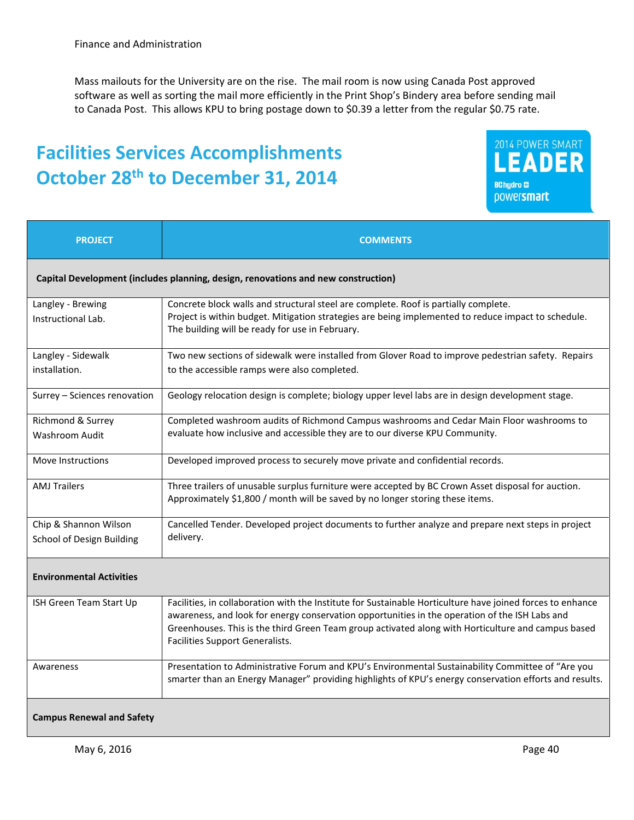Mass mailouts for the University are on the rise. The mail room is now using Canada Post approved software as well as sorting the mail more efficiently in the Print Shop's Bindery area before sending mail to Canada Post. This allows KPU to bring postage down to \$0.39 a letter from the regular \$0.75 rate.

# **Facilities Services Accomplishments October 28th to December 31, 2014**



| <b>PROJECT</b>                                                                    | <b>COMMENTS</b>                                                                                                                                                                                                                                                                                                                                       |  |  |
|-----------------------------------------------------------------------------------|-------------------------------------------------------------------------------------------------------------------------------------------------------------------------------------------------------------------------------------------------------------------------------------------------------------------------------------------------------|--|--|
| Capital Development (includes planning, design, renovations and new construction) |                                                                                                                                                                                                                                                                                                                                                       |  |  |
| Langley - Brewing<br>Instructional Lab.                                           | Concrete block walls and structural steel are complete. Roof is partially complete.<br>Project is within budget. Mitigation strategies are being implemented to reduce impact to schedule.<br>The building will be ready for use in February.                                                                                                         |  |  |
| Langley - Sidewalk<br>installation.                                               | Two new sections of sidewalk were installed from Glover Road to improve pedestrian safety. Repairs<br>to the accessible ramps were also completed.                                                                                                                                                                                                    |  |  |
| Surrey - Sciences renovation                                                      | Geology relocation design is complete; biology upper level labs are in design development stage.                                                                                                                                                                                                                                                      |  |  |
| Richmond & Surrey<br><b>Washroom Audit</b>                                        | Completed washroom audits of Richmond Campus washrooms and Cedar Main Floor washrooms to<br>evaluate how inclusive and accessible they are to our diverse KPU Community.                                                                                                                                                                              |  |  |
| Move Instructions                                                                 | Developed improved process to securely move private and confidential records.                                                                                                                                                                                                                                                                         |  |  |
| <b>AMJ Trailers</b>                                                               | Three trailers of unusable surplus furniture were accepted by BC Crown Asset disposal for auction.<br>Approximately \$1,800 / month will be saved by no longer storing these items.                                                                                                                                                                   |  |  |
| Chip & Shannon Wilson<br>School of Design Building                                | Cancelled Tender. Developed project documents to further analyze and prepare next steps in project<br>delivery.                                                                                                                                                                                                                                       |  |  |
| <b>Environmental Activities</b>                                                   |                                                                                                                                                                                                                                                                                                                                                       |  |  |
| ISH Green Team Start Up                                                           | Facilities, in collaboration with the Institute for Sustainable Horticulture have joined forces to enhance<br>awareness, and look for energy conservation opportunities in the operation of the ISH Labs and<br>Greenhouses. This is the third Green Team group activated along with Horticulture and campus based<br>Facilities Support Generalists. |  |  |
| Awareness                                                                         | Presentation to Administrative Forum and KPU's Environmental Sustainability Committee of "Are you<br>smarter than an Energy Manager" providing highlights of KPU's energy conservation efforts and results.                                                                                                                                           |  |  |
| <b>Campus Renewal and Safety</b>                                                  |                                                                                                                                                                                                                                                                                                                                                       |  |  |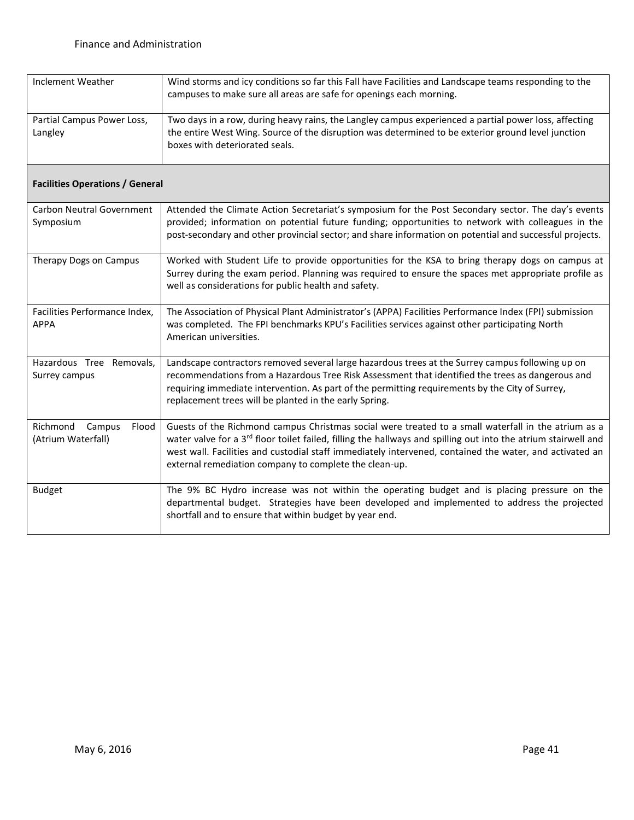| Inclement Weather                              | Wind storms and icy conditions so far this Fall have Facilities and Landscape teams responding to the<br>campuses to make sure all areas are safe for openings each morning.                                                                                                                                                                                                                           |
|------------------------------------------------|--------------------------------------------------------------------------------------------------------------------------------------------------------------------------------------------------------------------------------------------------------------------------------------------------------------------------------------------------------------------------------------------------------|
| Partial Campus Power Loss,<br>Langley          | Two days in a row, during heavy rains, the Langley campus experienced a partial power loss, affecting<br>the entire West Wing. Source of the disruption was determined to be exterior ground level junction<br>boxes with deteriorated seals.                                                                                                                                                          |
| <b>Facilities Operations / General</b>         |                                                                                                                                                                                                                                                                                                                                                                                                        |
| <b>Carbon Neutral Government</b><br>Symposium  | Attended the Climate Action Secretariat's symposium for the Post Secondary sector. The day's events<br>provided; information on potential future funding; opportunities to network with colleagues in the<br>post-secondary and other provincial sector; and share information on potential and successful projects.                                                                                   |
| Therapy Dogs on Campus                         | Worked with Student Life to provide opportunities for the KSA to bring therapy dogs on campus at<br>Surrey during the exam period. Planning was required to ensure the spaces met appropriate profile as<br>well as considerations for public health and safety.                                                                                                                                       |
| Facilities Performance Index,<br><b>APPA</b>   | The Association of Physical Plant Administrator's (APPA) Facilities Performance Index (FPI) submission<br>was completed. The FPI benchmarks KPU's Facilities services against other participating North<br>American universities.                                                                                                                                                                      |
| Hazardous Tree Removals,<br>Surrey campus      | Landscape contractors removed several large hazardous trees at the Surrey campus following up on<br>recommendations from a Hazardous Tree Risk Assessment that identified the trees as dangerous and<br>requiring immediate intervention. As part of the permitting requirements by the City of Surrey,<br>replacement trees will be planted in the early Spring.                                      |
| Richmond Campus<br>Flood<br>(Atrium Waterfall) | Guests of the Richmond campus Christmas social were treated to a small waterfall in the atrium as a<br>water valve for a 3 <sup>rd</sup> floor toilet failed, filling the hallways and spilling out into the atrium stairwell and<br>west wall. Facilities and custodial staff immediately intervened, contained the water, and activated an<br>external remediation company to complete the clean-up. |
| <b>Budget</b>                                  | The 9% BC Hydro increase was not within the operating budget and is placing pressure on the<br>departmental budget. Strategies have been developed and implemented to address the projected<br>shortfall and to ensure that within budget by year end.                                                                                                                                                 |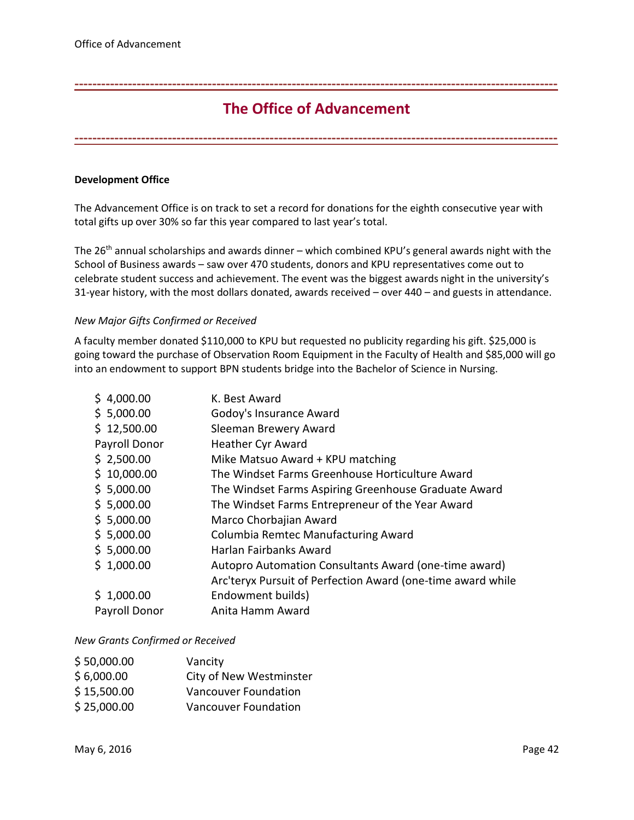# **The Office of Advancement**

<span id="page-41-0"></span>**-------------------------------------------------------------------------------------------------------------**

**-------------------------------------------------------------------------------------------------------------**

## **Development Office**

The Advancement Office is on track to set a record for donations for the eighth consecutive year with total gifts up over 30% so far this year compared to last year's total.

The  $26<sup>th</sup>$  annual scholarships and awards dinner – which combined KPU's general awards night with the School of Business awards – saw over 470 students, donors and KPU representatives come out to celebrate student success and achievement. The event was the biggest awards night in the university's 31-year history, with the most dollars donated, awards received – over 440 – and guests in attendance.

### *New Major Gifts Confirmed or Received*

A faculty member donated \$110,000 to KPU but requested no publicity regarding his gift. \$25,000 is going toward the purchase of Observation Room Equipment in the Faculty of Health and \$85,000 will go into an endowment to support BPN students bridge into the Bachelor of Science in Nursing.

| K. Best Award                                               |
|-------------------------------------------------------------|
| Godoy's Insurance Award                                     |
| Sleeman Brewery Award                                       |
| <b>Heather Cyr Award</b>                                    |
| Mike Matsuo Award + KPU matching                            |
| The Windset Farms Greenhouse Horticulture Award             |
| The Windset Farms Aspiring Greenhouse Graduate Award        |
| The Windset Farms Entrepreneur of the Year Award            |
| Marco Chorbajian Award                                      |
| Columbia Remtec Manufacturing Award                         |
| Harlan Fairbanks Award                                      |
| Autopro Automation Consultants Award (one-time award)       |
| Arc'teryx Pursuit of Perfection Award (one-time award while |
| Endowment builds)                                           |
| Anita Hamm Award                                            |
|                                                             |

### *New Grants Confirmed or Received*

| \$50,000.00 | Vancity                 |
|-------------|-------------------------|
| \$6,000.00  | City of New Westminster |
| \$15,500.00 | Vancouver Foundation    |
| \$25,000.00 | Vancouver Foundation    |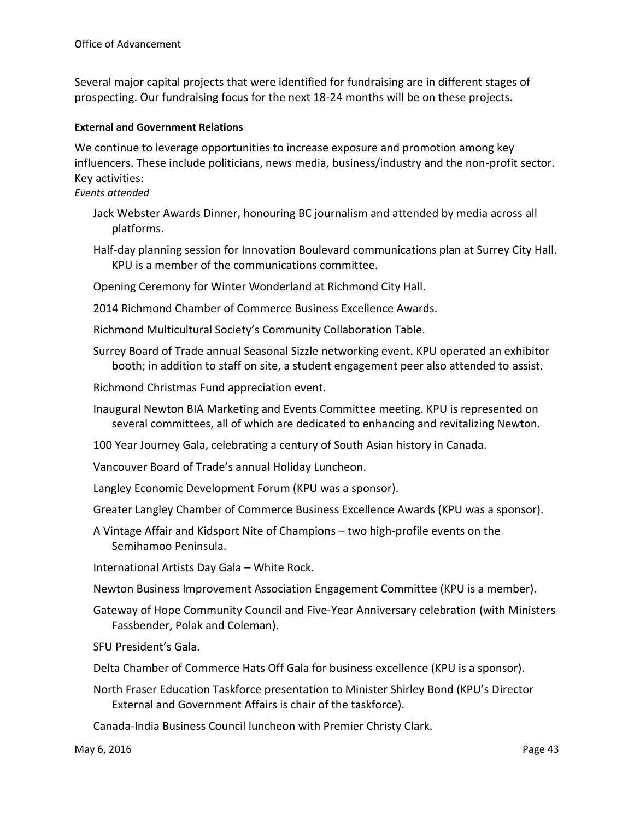Several major capital projects that were identified for fundraising are in different stages of prospecting. Our fundraising focus for the next 18-24 months will be on these projects.

## **External and Government Relations**

We continue to leverage opportunities to increase exposure and promotion among key influencers. These include politicians, news media, business/industry and the non-profit sector. Key activities:

## *Events attended*

- Jack Webster Awards Dinner, honouring BC journalism and attended by media across all platforms.
- Half-day planning session for Innovation Boulevard communications plan at Surrey City Hall. KPU is a member of the communications committee.
- Opening Ceremony for Winter Wonderland at Richmond City Hall.
- 2014 Richmond Chamber of Commerce Business Excellence Awards.
- Richmond Multicultural Society's Community Collaboration Table.
- Surrey Board of Trade annual Seasonal Sizzle networking event. KPU operated an exhibitor booth; in addition to staff on site, a student engagement peer also attended to assist.
- Richmond Christmas Fund appreciation event.
- Inaugural Newton BIA Marketing and Events Committee meeting. KPU is represented on several committees, all of which are dedicated to enhancing and revitalizing Newton.
- 100 Year Journey Gala, celebrating a century of South Asian history in Canada.
- Vancouver Board of Trade's annual Holiday Luncheon.
- Langley Economic Development Forum (KPU was a sponsor).
- Greater Langley Chamber of Commerce Business Excellence Awards (KPU was a sponsor).
- A Vintage Affair and Kidsport Nite of Champions two high-profile events on the Semihamoo Peninsula.

International Artists Day Gala – White Rock.

- Newton Business Improvement Association Engagement Committee (KPU is a member).
- Gateway of Hope Community Council and Five-Year Anniversary celebration (with Ministers Fassbender, Polak and Coleman).
- SFU President's Gala.
- Delta Chamber of Commerce Hats Off Gala for business excellence (KPU is a sponsor).
- North Fraser Education Taskforce presentation to Minister Shirley Bond (KPU's Director External and Government Affairs is chair of the taskforce).
- Canada-India Business Council luncheon with Premier Christy Clark.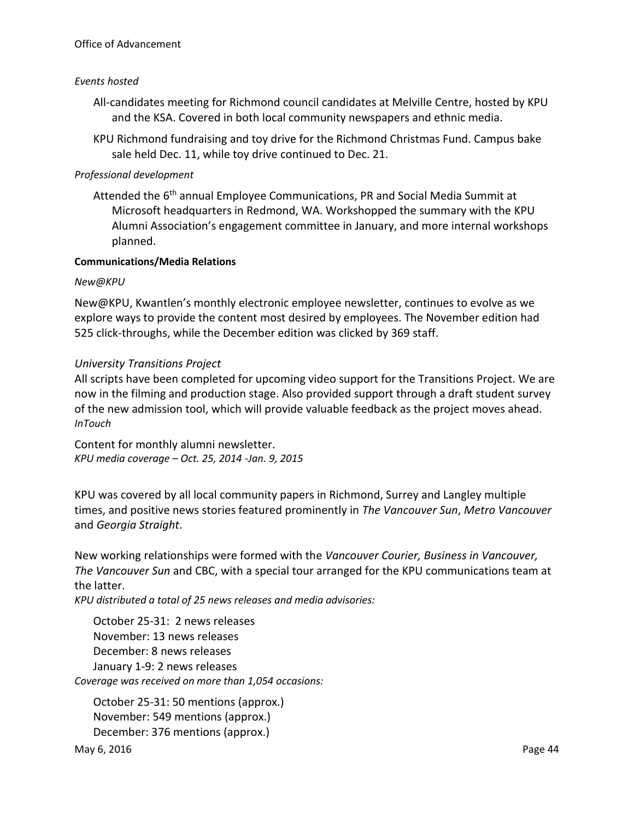## Office of Advancement

## *Events hosted*

- All-candidates meeting for Richmond council candidates at Melville Centre, hosted by KPU and the KSA. Covered in both local community newspapers and ethnic media.
- KPU Richmond fundraising and toy drive for the Richmond Christmas Fund. Campus bake sale held Dec. 11, while toy drive continued to Dec. 21.

## *Professional development*

Attended the 6<sup>th</sup> annual Employee Communications, PR and Social Media Summit at Microsoft headquarters in Redmond, WA. Workshopped the summary with the KPU Alumni Association's engagement committee in January, and more internal workshops planned.

## **Communications/Media Relations**

## *New@KPU*

New@KPU, Kwantlen's monthly electronic employee newsletter, continues to evolve as we explore ways to provide the content most desired by employees. The November edition had 525 click-throughs, while the December edition was clicked by 369 staff.

## *University Transitions Project*

All scripts have been completed for upcoming video support for the Transitions Project. We are now in the filming and production stage. Also provided support through a draft student survey of the new admission tool, which will provide valuable feedback as the project moves ahead. *InTouch* 

Content for monthly alumni newsletter. *KPU media coverage – Oct. 25, 2014 -Jan. 9, 2015*

KPU was covered by all local community papers in Richmond, Surrey and Langley multiple times, and positive news stories featured prominently in *The Vancouver Sun*, *Metro Vancouver*  and *Georgia Straight*.

New working relationships were formed with the *Vancouver Courier, Business in Vancouver, The Vancouver Sun* and CBC, with a special tour arranged for the KPU communications team at the latter.

*KPU distributed a total of 25 news releases and media advisories:* 

October 25-31: 2 news releases November: 13 news releases December: 8 news releases January 1-9: 2 news releases *Coverage was received on more than 1,054 occasions:* 

October 25-31: 50 mentions (approx.) November: 549 mentions (approx.) December: 376 mentions (approx.)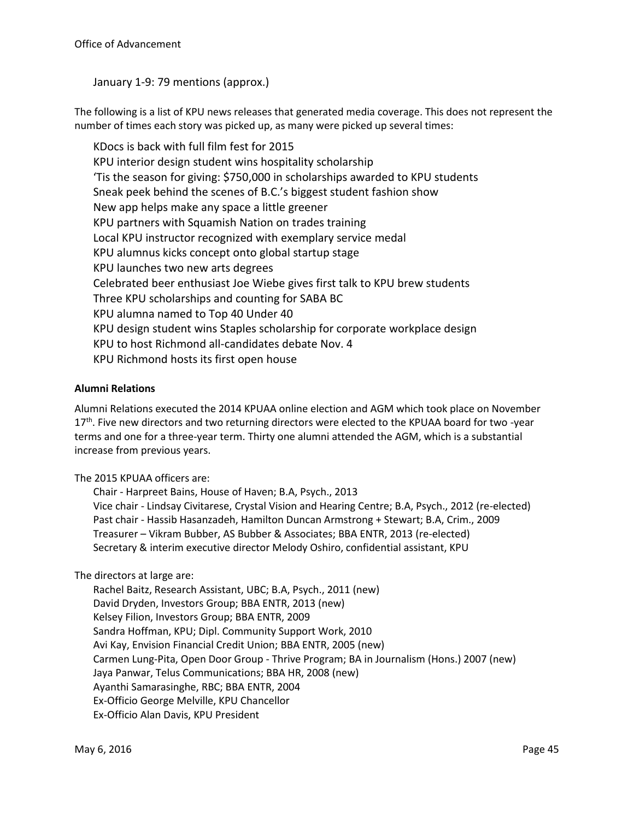January 1-9: 79 mentions (approx.)

The following is a list of KPU news releases that generated media coverage. This does not represent the number of times each story was picked up, as many were picked up several times:

KDocs is back with full film fest for 2015 KPU interior design student wins hospitality scholarship 'Tis the season for giving: \$750,000 in scholarships awarded to KPU students Sneak peek behind the scenes of B.C.'s biggest student fashion show New app helps make any space a little greener KPU partners with Squamish Nation on trades training Local KPU instructor recognized with exemplary service medal KPU alumnus kicks concept onto global startup stage KPU launches two new arts degrees Celebrated beer enthusiast Joe Wiebe gives first talk to KPU brew students Three KPU scholarships and counting for SABA BC KPU alumna named to Top 40 Under 40 KPU design student wins Staples scholarship for corporate workplace design KPU to host Richmond all-candidates debate Nov. 4 KPU Richmond hosts its first open house

## **Alumni Relations**

Alumni Relations executed the 2014 KPUAA online election and AGM which took place on November 17<sup>th</sup>. Five new directors and two returning directors were elected to the KPUAA board for two -year terms and one for a three-year term. Thirty one alumni attended the AGM, which is a substantial increase from previous years.

The 2015 KPUAA officers are:

Chair - Harpreet Bains, House of Haven; B.A, Psych., 2013 Vice chair - Lindsay Civitarese, Crystal Vision and Hearing Centre; B.A, Psych., 2012 (re-elected) Past chair - Hassib Hasanzadeh, Hamilton Duncan Armstrong + Stewart; B.A, Crim., 2009 Treasurer – Vikram Bubber, AS Bubber & Associates; BBA ENTR, 2013 (re-elected) Secretary & interim executive director Melody Oshiro, confidential assistant, KPU

The directors at large are:

Rachel Baitz, Research Assistant, UBC; B.A, Psych., 2011 (new) David Dryden, Investors Group; BBA ENTR, 2013 (new) Kelsey Filion, Investors Group; BBA ENTR, 2009 Sandra Hoffman, KPU; Dipl. Community Support Work, 2010 Avi Kay, Envision Financial Credit Union; BBA ENTR, 2005 (new) Carmen Lung-Pita, Open Door Group - Thrive Program; BA in Journalism (Hons.) 2007 (new) Jaya Panwar, Telus Communications; BBA HR, 2008 (new) Ayanthi Samarasinghe, RBC; BBA ENTR, 2004 Ex-Officio George Melville, KPU Chancellor Ex-Officio Alan Davis, KPU President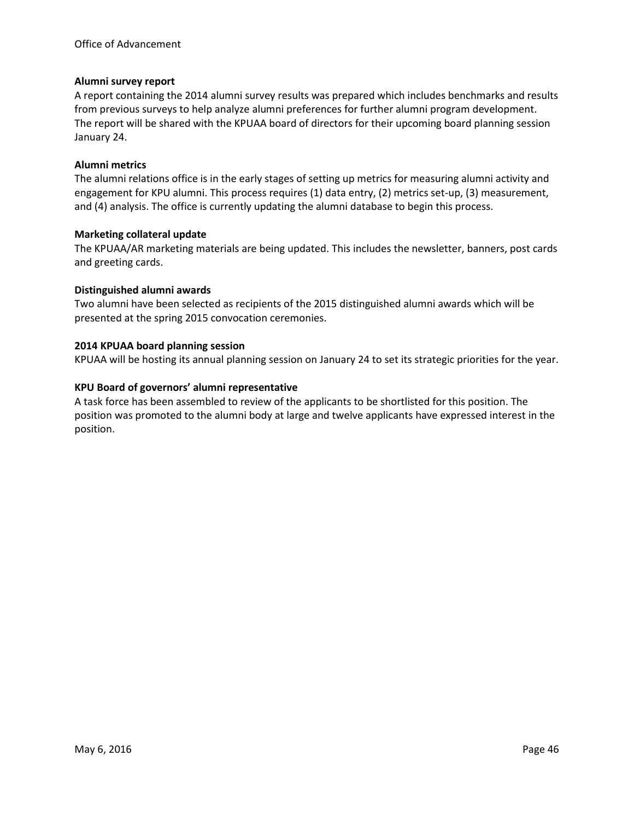## **Alumni survey report**

A report containing the 2014 alumni survey results was prepared which includes benchmarks and results from previous surveys to help analyze alumni preferences for further alumni program development. The report will be shared with the KPUAA board of directors for their upcoming board planning session January 24.

## **Alumni metrics**

The alumni relations office is in the early stages of setting up metrics for measuring alumni activity and engagement for KPU alumni. This process requires (1) data entry, (2) metrics set-up, (3) measurement, and (4) analysis. The office is currently updating the alumni database to begin this process.

## **Marketing collateral update**

The KPUAA/AR marketing materials are being updated. This includes the newsletter, banners, post cards and greeting cards.

## **Distinguished alumni awards**

Two alumni have been selected as recipients of the 2015 distinguished alumni awards which will be presented at the spring 2015 convocation ceremonies.

## **2014 KPUAA board planning session**

KPUAA will be hosting its annual planning session on January 24 to set its strategic priorities for the year.

## **KPU Board of governors' alumni representative**

A task force has been assembled to review of the applicants to be shortlisted for this position. The position was promoted to the alumni body at large and twelve applicants have expressed interest in the position.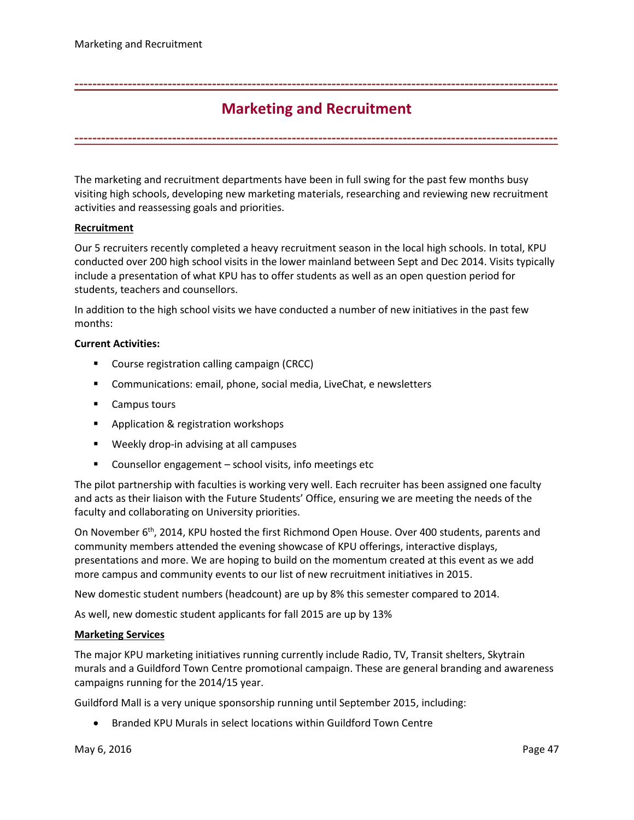## **Marketing and Recruitment**

<span id="page-46-0"></span>**-------------------------------------------------------------------------------------------------------------**

**-------------------------------------------------------------------------------------------------------------**

The marketing and recruitment departments have been in full swing for the past few months busy visiting high schools, developing new marketing materials, researching and reviewing new recruitment activities and reassessing goals and priorities.

## **Recruitment**

Our 5 recruiters recently completed a heavy recruitment season in the local high schools. In total, KPU conducted over 200 high school visits in the lower mainland between Sept and Dec 2014. Visits typically include a presentation of what KPU has to offer students as well as an open question period for students, teachers and counsellors.

In addition to the high school visits we have conducted a number of new initiatives in the past few months:

### **Current Activities:**

- **Course registration calling campaign (CRCC)**
- Communications: email, phone, social media, LiveChat, e newsletters
- **Campus tours**
- **Application & registration workshops**
- Weekly drop-in advising at all campuses
- Counsellor engagement school visits, info meetings etc

The pilot partnership with faculties is working very well. Each recruiter has been assigned one faculty and acts as their liaison with the Future Students' Office, ensuring we are meeting the needs of the faculty and collaborating on University priorities.

On November 6<sup>th</sup>, 2014, KPU hosted the first Richmond Open House. Over 400 students, parents and community members attended the evening showcase of KPU offerings, interactive displays, presentations and more. We are hoping to build on the momentum created at this event as we add more campus and community events to our list of new recruitment initiatives in 2015.

New domestic student numbers (headcount) are up by 8% this semester compared to 2014.

As well, new domestic student applicants for fall 2015 are up by 13%

### **Marketing Services**

The major KPU marketing initiatives running currently include Radio, TV, Transit shelters, Skytrain murals and a Guildford Town Centre promotional campaign. These are general branding and awareness campaigns running for the 2014/15 year.

Guildford Mall is a very unique sponsorship running until September 2015, including:

• Branded KPU Murals in select locations within Guildford Town Centre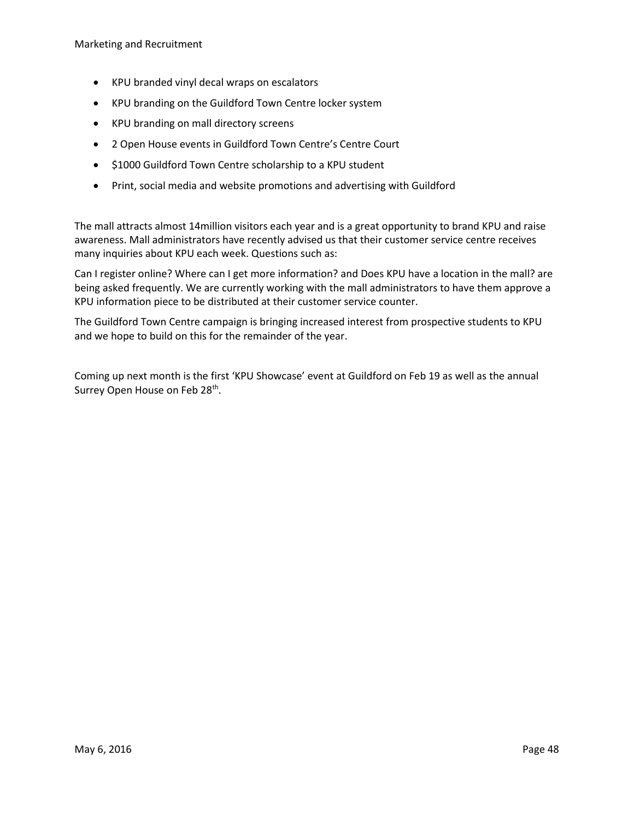- KPU branded vinyl decal wraps on escalators
- KPU branding on the Guildford Town Centre locker system
- KPU branding on mall directory screens
- 2 Open House events in Guildford Town Centre's Centre Court
- $\bullet$  \$1000 Guildford Town Centre scholarship to a KPU student
- Print, social media and website promotions and advertising with Guildford

The mall attracts almost 14million visitors each year and is a great opportunity to brand KPU and raise awareness. Mall administrators have recently advised us that their customer service centre receives many inquiries about KPU each week. Questions such as:

Can I register online? Where can I get more information? and Does KPU have a location in the mall? are being asked frequently. We are currently working with the mall administrators to have them approve a KPU information piece to be distributed at their customer service counter.

The Guildford Town Centre campaign is bringing increased interest from prospective students to KPU and we hope to build on this for the remainder of the year.

Coming up next month is the first 'KPU Showcase' event at Guildford on Feb 19 as well as the annual Surrey Open House on Feb 28<sup>th</sup>.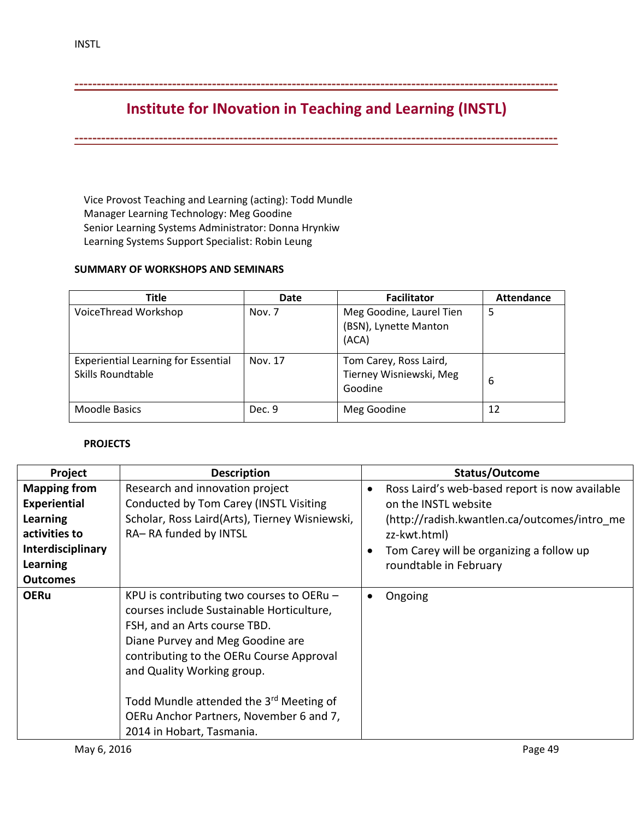<span id="page-48-0"></span>**-------------------------------------------------------------------------------------------------------------**

# **Institute for INovation in Teaching and Learning (INSTL)**

**-------------------------------------------------------------------------------------------------------------**

Vice Provost Teaching and Learning (acting): Todd Mundle Manager Learning Technology: Meg Goodine Senior Learning Systems Administrator: Donna Hrynkiw Learning Systems Support Specialist: Robin Leung

## **SUMMARY OF WORKSHOPS AND SEMINARS**

| <b>Title</b>                                                           | <b>Date</b> | <b>Facilitator</b>                                           | <b>Attendance</b> |
|------------------------------------------------------------------------|-------------|--------------------------------------------------------------|-------------------|
| VoiceThread Workshop                                                   | Nov. 7      | Meg Goodine, Laurel Tien<br>(BSN), Lynette Manton<br>(ACA)   | 5                 |
| <b>Experiential Learning for Essential</b><br><b>Skills Roundtable</b> | Nov. 17     | Tom Carey, Ross Laird,<br>Tierney Wisniewski, Meg<br>Goodine | 6                 |
| <b>Moodle Basics</b>                                                   | Dec. 9      | Meg Goodine                                                  | 12                |

## **PROJECTS**

| Project                                                                                                                     | <b>Description</b>                                                                                                                                                                                                                                                                                                                                                    | Status/Outcome                                                                                                                                                                                               |
|-----------------------------------------------------------------------------------------------------------------------------|-----------------------------------------------------------------------------------------------------------------------------------------------------------------------------------------------------------------------------------------------------------------------------------------------------------------------------------------------------------------------|--------------------------------------------------------------------------------------------------------------------------------------------------------------------------------------------------------------|
| <b>Mapping from</b><br>Experiential<br>Learning<br>activities to<br><b>Interdisciplinary</b><br>Learning<br><b>Outcomes</b> | Research and innovation project<br>Conducted by Tom Carey (INSTL Visiting<br>Scholar, Ross Laird(Arts), Tierney Wisniewski,<br>RA-RA funded by INTSL                                                                                                                                                                                                                  | Ross Laird's web-based report is now available<br>on the INSTL website<br>(http://radish.kwantlen.ca/outcomes/intro me<br>zz-kwt.html)<br>Tom Carey will be organizing a follow up<br>roundtable in February |
| <b>OERu</b>                                                                                                                 | KPU is contributing two courses to OERu $-$<br>courses include Sustainable Horticulture,<br>FSH, and an Arts course TBD.<br>Diane Purvey and Meg Goodine are<br>contributing to the OERu Course Approval<br>and Quality Working group.<br>Todd Mundle attended the 3 <sup>rd</sup> Meeting of<br>OERu Anchor Partners, November 6 and 7,<br>2014 in Hobart, Tasmania. | Ongoing                                                                                                                                                                                                      |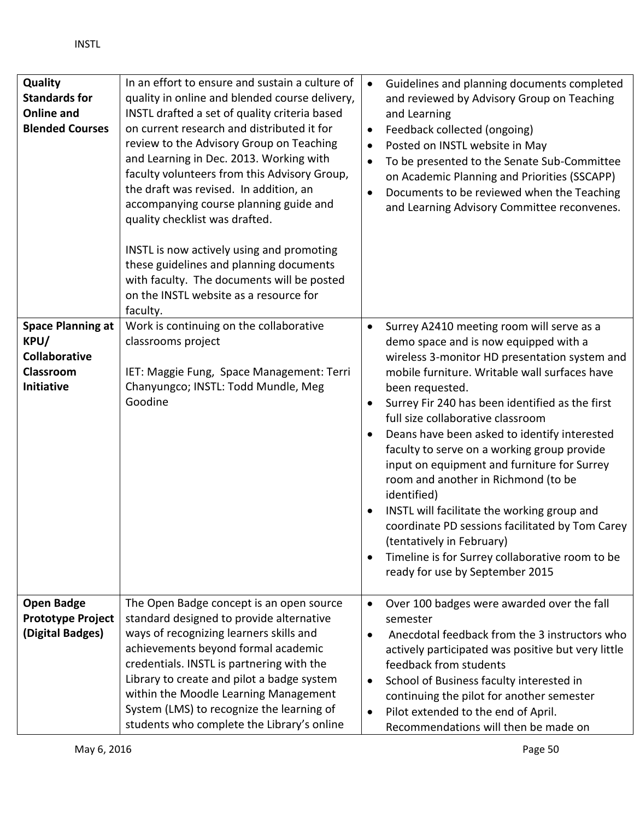| Quality<br><b>Standards for</b><br><b>Online and</b><br><b>Blended Courses</b>      | In an effort to ensure and sustain a culture of<br>quality in online and blended course delivery,<br>INSTL drafted a set of quality criteria based<br>on current research and distributed it for<br>review to the Advisory Group on Teaching<br>and Learning in Dec. 2013. Working with<br>faculty volunteers from this Advisory Group,<br>the draft was revised. In addition, an<br>accompanying course planning guide and<br>quality checklist was drafted.<br>INSTL is now actively using and promoting<br>these guidelines and planning documents<br>with faculty. The documents will be posted<br>on the INSTL website as a resource for<br>faculty. | $\bullet$<br>$\bullet$<br>$\bullet$<br>$\bullet$ | Guidelines and planning documents completed<br>and reviewed by Advisory Group on Teaching<br>and Learning<br>Feedback collected (ongoing)<br>Posted on INSTL website in May<br>To be presented to the Senate Sub-Committee<br>on Academic Planning and Priorities (SSCAPP)<br>Documents to be reviewed when the Teaching<br>and Learning Advisory Committee reconvenes.                                                                                                                                                                                                                                                                                                                                                  |
|-------------------------------------------------------------------------------------|-----------------------------------------------------------------------------------------------------------------------------------------------------------------------------------------------------------------------------------------------------------------------------------------------------------------------------------------------------------------------------------------------------------------------------------------------------------------------------------------------------------------------------------------------------------------------------------------------------------------------------------------------------------|--------------------------------------------------|--------------------------------------------------------------------------------------------------------------------------------------------------------------------------------------------------------------------------------------------------------------------------------------------------------------------------------------------------------------------------------------------------------------------------------------------------------------------------------------------------------------------------------------------------------------------------------------------------------------------------------------------------------------------------------------------------------------------------|
| <b>Space Planning at</b><br>KPU/<br><b>Collaborative</b><br>Classroom<br>Initiative | Work is continuing on the collaborative<br>classrooms project<br>IET: Maggie Fung, Space Management: Terri<br>Chanyungco; INSTL: Todd Mundle, Meg<br>Goodine                                                                                                                                                                                                                                                                                                                                                                                                                                                                                              |                                                  | Surrey A2410 meeting room will serve as a<br>demo space and is now equipped with a<br>wireless 3-monitor HD presentation system and<br>mobile furniture. Writable wall surfaces have<br>been requested.<br>Surrey Fir 240 has been identified as the first<br>full size collaborative classroom<br>Deans have been asked to identify interested<br>faculty to serve on a working group provide<br>input on equipment and furniture for Surrey<br>room and another in Richmond (to be<br>identified)<br>INSTL will facilitate the working group and<br>coordinate PD sessions facilitated by Tom Carey<br>(tentatively in February)<br>Timeline is for Surrey collaborative room to be<br>ready for use by September 2015 |
| <b>Open Badge</b><br><b>Prototype Project</b><br>(Digital Badges)                   | The Open Badge concept is an open source<br>standard designed to provide alternative<br>ways of recognizing learners skills and<br>achievements beyond formal academic<br>credentials. INSTL is partnering with the<br>Library to create and pilot a badge system<br>within the Moodle Learning Management<br>System (LMS) to recognize the learning of<br>students who complete the Library's online                                                                                                                                                                                                                                                     | $\bullet$<br>$\bullet$                           | Over 100 badges were awarded over the fall<br>semester<br>Anecdotal feedback from the 3 instructors who<br>actively participated was positive but very little<br>feedback from students<br>School of Business faculty interested in<br>continuing the pilot for another semester<br>Pilot extended to the end of April.<br>Recommendations will then be made on                                                                                                                                                                                                                                                                                                                                                          |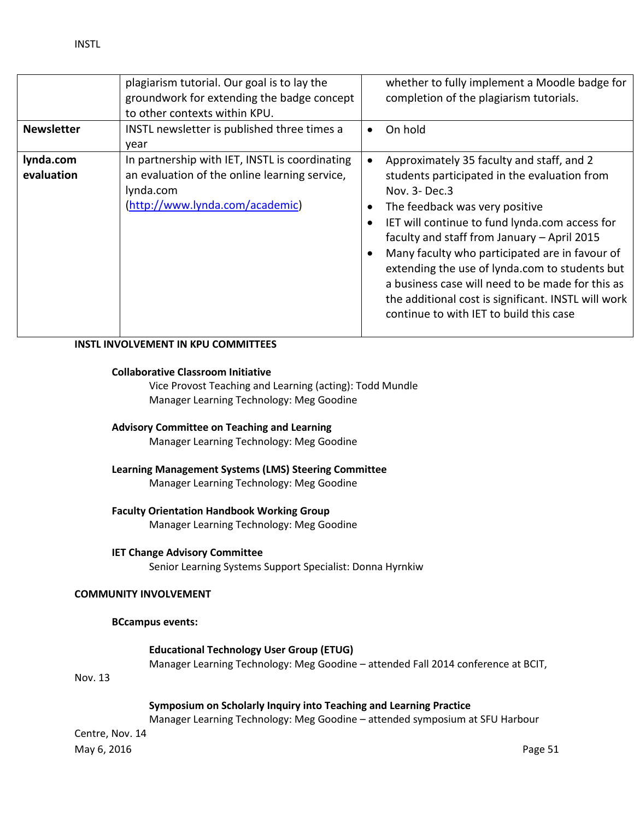|                         | plagiarism tutorial. Our goal is to lay the<br>groundwork for extending the badge concept<br>to other contexts within KPU.                      | whether to fully implement a Moodle badge for<br>completion of the plagiarism tutorials.                                                                                                                                                                                                                                                                                                                                                                                                                |
|-------------------------|-------------------------------------------------------------------------------------------------------------------------------------------------|---------------------------------------------------------------------------------------------------------------------------------------------------------------------------------------------------------------------------------------------------------------------------------------------------------------------------------------------------------------------------------------------------------------------------------------------------------------------------------------------------------|
| <b>Newsletter</b>       | INSTL newsletter is published three times a<br>year                                                                                             | On hold                                                                                                                                                                                                                                                                                                                                                                                                                                                                                                 |
| lynda.com<br>evaluation | In partnership with IET, INSTL is coordinating<br>an evaluation of the online learning service,<br>lynda.com<br>(http://www.lynda.com/academic) | Approximately 35 faculty and staff, and 2<br>students participated in the evaluation from<br>Nov. 3- Dec.3<br>The feedback was very positive<br>IET will continue to fund lynda.com access for<br>faculty and staff from January - April 2015<br>Many faculty who participated are in favour of<br>extending the use of lynda.com to students but<br>a business case will need to be made for this as<br>the additional cost is significant. INSTL will work<br>continue to with IET to build this case |

## **INSTL INVOLVEMENT IN KPU COMMITTEES**

### **Collaborative Classroom Initiative**

Vice Provost Teaching and Learning (acting): Todd Mundle Manager Learning Technology: Meg Goodine

## **Advisory Committee on Teaching and Learning**

Manager Learning Technology: Meg Goodine

## **Learning Management Systems (LMS) Steering Committee** Manager Learning Technology: Meg Goodine

### **Faculty Orientation Handbook Working Group**

Manager Learning Technology: Meg Goodine

### **IET Change Advisory Committee**

Senior Learning Systems Support Specialist: Donna Hyrnkiw

## **COMMUNITY INVOLVEMENT**

### **BCcampus events:**

## **Educational Technology User Group (ETUG)**

Manager Learning Technology: Meg Goodine – attended Fall 2014 conference at BCIT,

Nov. 13

### **Symposium on Scholarly Inquiry into Teaching and Learning Practice**

Manager Learning Technology: Meg Goodine – attended symposium at SFU Harbour

Centre, Nov. 14

May 6, 2016 **Page 51**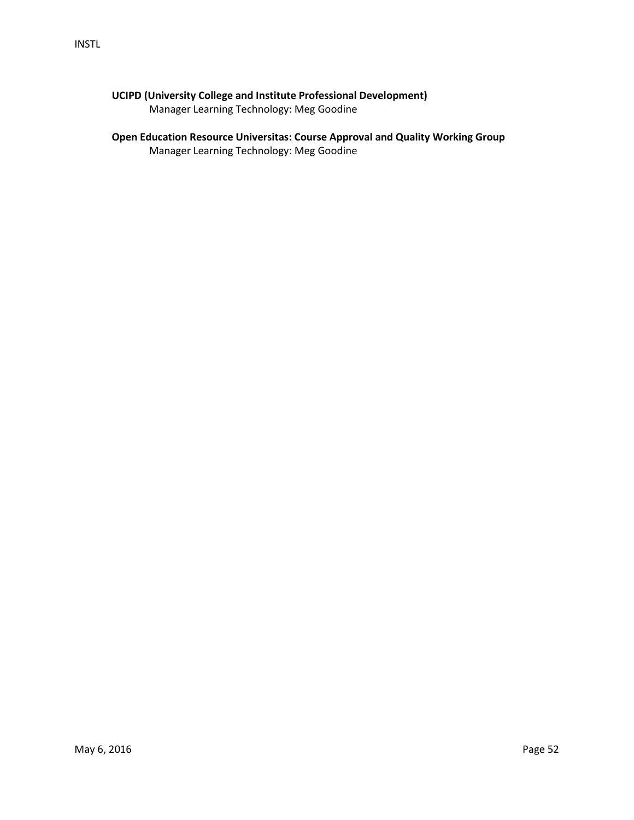## **UCIPD (University College and Institute Professional Development)**

Manager Learning Technology: Meg Goodine

## **Open Education Resource Universitas: Course Approval and Quality Working Group**

Manager Learning Technology: Meg Goodine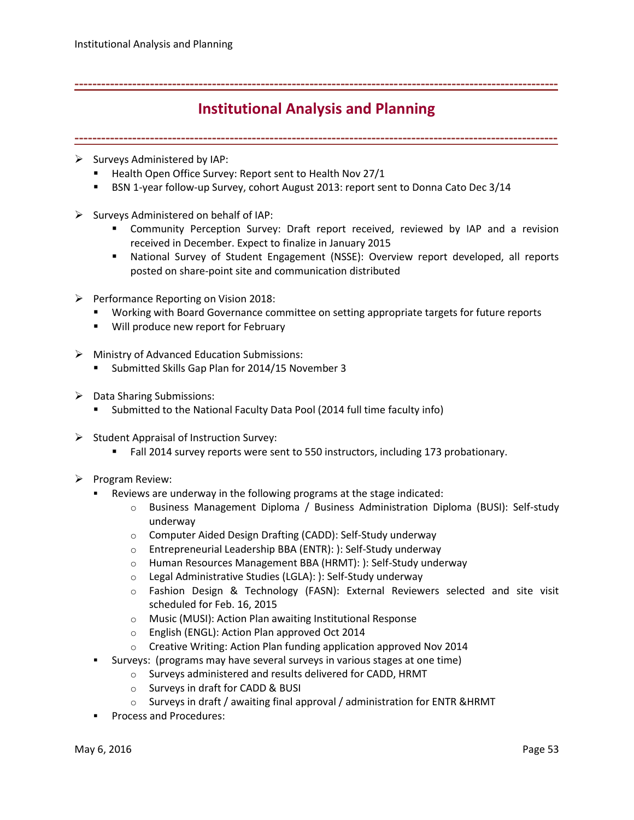## <span id="page-52-0"></span>**-------------------------------------------------------------------------------------------------------------**

## **Institutional Analysis and Planning**

**-------------------------------------------------------------------------------------------------------------**

- $\triangleright$  Surveys Administered by IAP:
	- Health Open Office Survey: Report sent to Health Nov 27/1
	- **BSN 1-year follow-up Survey, cohort August 2013: report sent to Donna Cato Dec 3/14**
- $\triangleright$  Surveys Administered on behalf of IAP:
	- Community Perception Survey: Draft report received, reviewed by IAP and a revision received in December. Expect to finalize in January 2015
	- National Survey of Student Engagement (NSSE): Overview report developed, all reports posted on share-point site and communication distributed
- $\triangleright$  Performance Reporting on Vision 2018:
	- Working with Board Governance committee on setting appropriate targets for future reports
	- **Will produce new report for February**
- $\triangleright$  Ministry of Advanced Education Submissions:
	- **Submitted Skills Gap Plan for 2014/15 November 3**
- $\triangleright$  Data Sharing Submissions:
	- Submitted to the National Faculty Data Pool (2014 full time faculty info)
- $\triangleright$  Student Appraisal of Instruction Survey:
	- Fall 2014 survey reports were sent to 550 instructors, including 173 probationary.
- $\triangleright$  Program Review:
	- Reviews are underway in the following programs at the stage indicated:
		- o Business Management Diploma / Business Administration Diploma (BUSI): Self-study underway
		- o Computer Aided Design Drafting (CADD): Self-Study underway
		- o Entrepreneurial Leadership BBA (ENTR): ): Self-Study underway
		- o Human Resources Management BBA (HRMT): ): Self-Study underway
		- o Legal Administrative Studies (LGLA): ): Self-Study underway
		- o Fashion Design & Technology (FASN): External Reviewers selected and site visit scheduled for Feb. 16, 2015
		- o Music (MUSI): Action Plan awaiting Institutional Response
		- o English (ENGL): Action Plan approved Oct 2014
		- o Creative Writing: Action Plan funding application approved Nov 2014
	- Surveys: (programs may have several surveys in various stages at one time)
		- o Surveys administered and results delivered for CADD, HRMT
		- o Surveys in draft for CADD & BUSI
		- $\circ$  Surveys in draft / awaiting final approval / administration for ENTR & HRMT
	- Process and Procedures: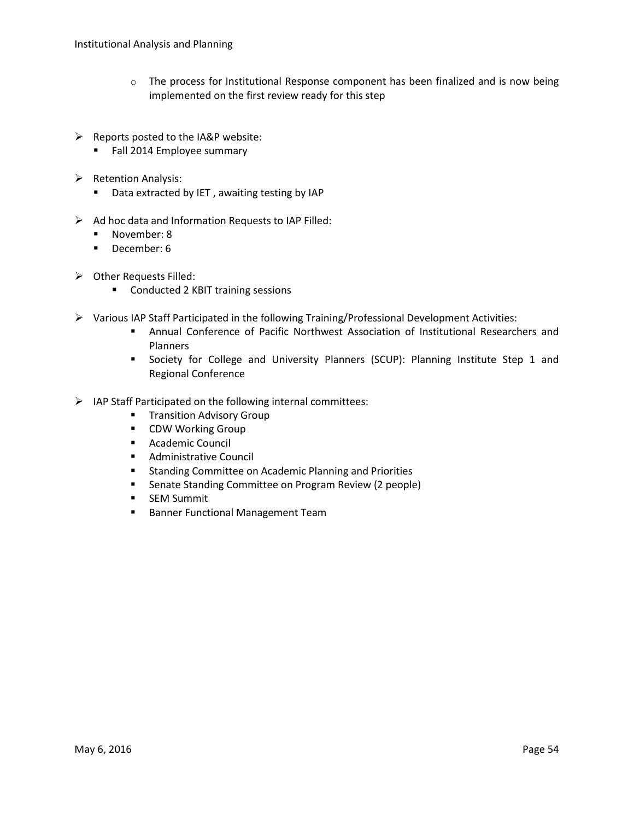- $\circ$  The process for Institutional Response component has been finalized and is now being implemented on the first review ready for this step
- $\triangleright$  Reports posted to the IA&P website:
	- **Fall 2014 Employee summary**
- $\triangleright$  Retention Analysis:
	- **Data extracted by IET, awaiting testing by IAP**
- $\triangleright$  Ad hoc data and Information Requests to IAP Filled:
	- November: 8
	- December: 6
- $\triangleright$  Other Requests Filled:
	- **Conducted 2 KBIT training sessions**
- Various IAP Staff Participated in the following Training/Professional Development Activities:
	- Annual Conference of Pacific Northwest Association of Institutional Researchers and Planners
	- **Society for College and University Planners (SCUP): Planning Institute Step 1 and** Regional Conference
- $\triangleright$  IAP Staff Participated on the following internal committees:
	- **Transition Advisory Group**
	- **CDW Working Group**
	- **Academic Council**
	- **Administrative Council**
	- **EXTERNIMI** Standing Committee on Academic Planning and Priorities
	- **Senate Standing Committee on Program Review (2 people)**
	- **SEM Summit**
	- **Banner Functional Management Team**